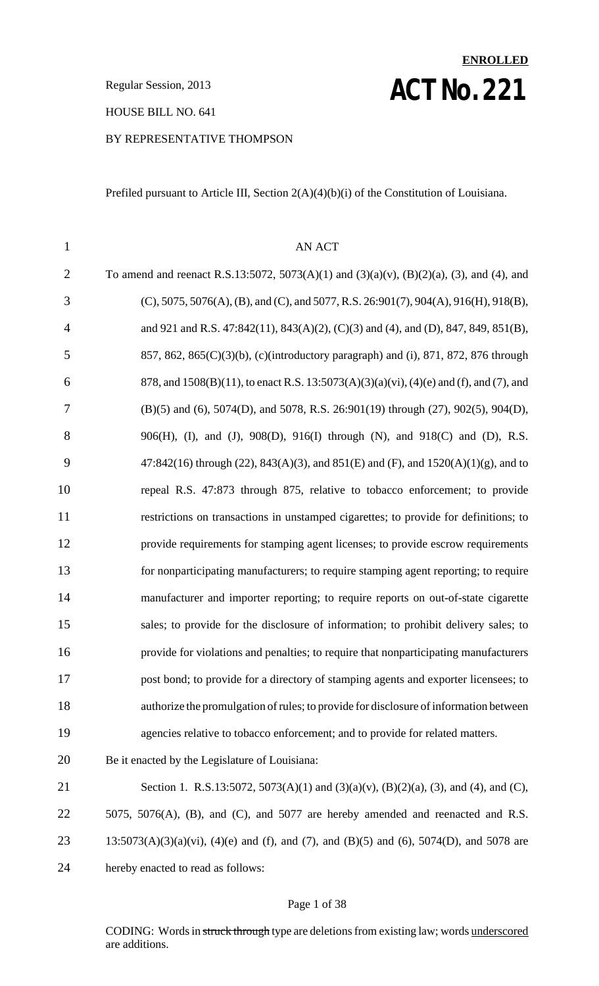**ACT NO. 221** Regular Session, 2013

HOUSE BILL NO. 641

#### BY REPRESENTATIVE THOMPSON

Prefiled pursuant to Article III, Section 2(A)(4)(b)(i) of the Constitution of Louisiana.

**ENROLLED**

| $\mathbf{1}$   | <b>AN ACT</b>                                                                                 |
|----------------|-----------------------------------------------------------------------------------------------|
| $\overline{2}$ | To amend and reenact R.S.13:5072, 5073(A)(1) and (3)(a)(v), (B)(2)(a), (3), and (4), and      |
| 3              | $(C)$ , 5075, 5076(A), (B), and (C), and 5077, R.S. 26:901(7), 904(A), 916(H), 918(B),        |
| $\overline{4}$ | and 921 and R.S. 47:842(11), 843(A)(2), (C)(3) and (4), and (D), 847, 849, 851(B),            |
| 5              | 857, 862, 865(C)(3)(b), (c)(introductory paragraph) and (i), 871, 872, 876 through            |
| 6              | 878, and 1508(B)(11), to enact R.S. 13:5073(A)(3)(a)(vi), (4)(e) and (f), and (7), and        |
| 7              | (B)(5) and (6), 5074(D), and 5078, R.S. 26:901(19) through (27), 902(5), 904(D),              |
| 8              | 906(H), (I), and (J), 908(D), 916(I) through (N), and 918(C) and (D), R.S.                    |
| 9              | $47:842(16)$ through (22), $843(A)(3)$ , and $851(E)$ and (F), and $1520(A)(1)(g)$ , and to   |
| 10             | repeal R.S. 47:873 through 875, relative to tobacco enforcement; to provide                   |
| 11             | restrictions on transactions in unstamped cigarettes; to provide for definitions; to          |
| 12             | provide requirements for stamping agent licenses; to provide escrow requirements              |
| 13             | for nonparticipating manufacturers; to require stamping agent reporting; to require           |
| 14             | manufacturer and importer reporting; to require reports on out-of-state cigarette             |
| 15             | sales; to provide for the disclosure of information; to prohibit delivery sales; to           |
| 16             | provide for violations and penalties; to require that nonparticipating manufacturers          |
| 17             | post bond; to provide for a directory of stamping agents and exporter licensees; to           |
| 18             | authorize the promulgation of rules; to provide for disclosure of information between         |
| 19             | agencies relative to tobacco enforcement; and to provide for related matters.                 |
| 20             | Be it enacted by the Legislature of Louisiana:                                                |
| 21             | Section 1. R.S.13:5072, 5073(A)(1) and (3)(a)(v), (B)(2)(a), (3), and (4), and (C),           |
| 22             | 5075, 5076(A), (B), and (C), and 5077 are hereby amended and reenacted and R.S.               |
| 23             | $13:5073(A)(3)(a)(vi)$ , $(4)(e)$ and (f), and (7), and (B)(5) and (6), 5074(D), and 5078 are |
| 24             | hereby enacted to read as follows:                                                            |
|                |                                                                                               |

#### Page 1 of 38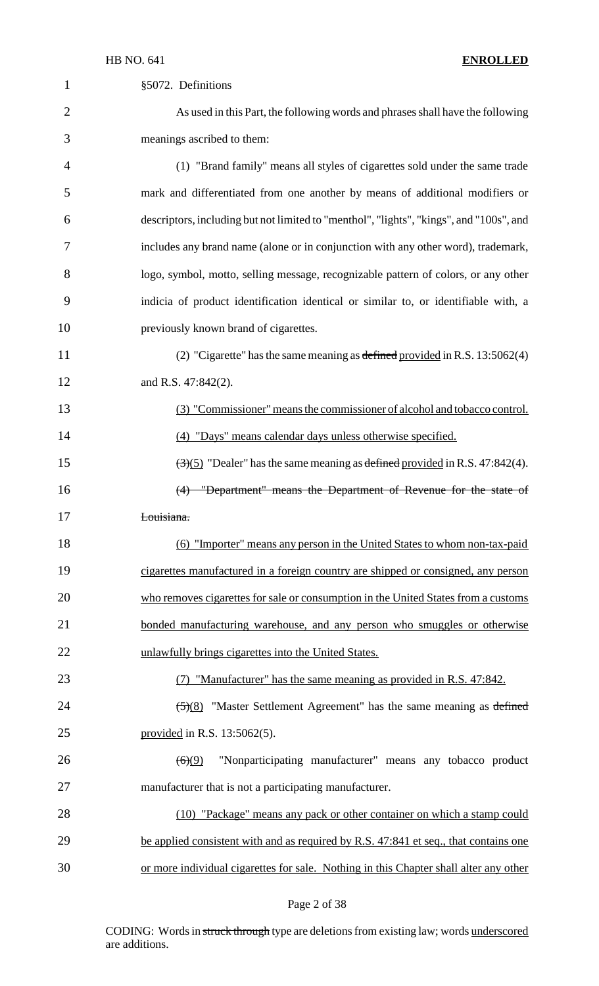| $\mathbf 1$    | §5072. Definitions                                                                              |
|----------------|-------------------------------------------------------------------------------------------------|
| $\overline{2}$ | As used in this Part, the following words and phrases shall have the following                  |
| 3              | meanings ascribed to them:                                                                      |
| 4              | (1) "Brand family" means all styles of cigarettes sold under the same trade                     |
| 5              | mark and differentiated from one another by means of additional modifiers or                    |
| 6              | descriptors, including but not limited to "menthol", "lights", "kings", and "100s", and         |
| 7              | includes any brand name (alone or in conjunction with any other word), trademark,               |
| 8              | logo, symbol, motto, selling message, recognizable pattern of colors, or any other              |
| 9              | indicia of product identification identical or similar to, or identifiable with, a              |
| 10             | previously known brand of cigarettes.                                                           |
| 11             | (2) "Cigarette" has the same meaning as defined provided in R.S. $13:5062(4)$                   |
| 12             | and R.S. 47:842(2).                                                                             |
| 13             | (3) "Commissioner" means the commissioner of alcohol and tobacco control.                       |
| 14             | (4) "Days" means calendar days unless otherwise specified.                                      |
| 15             | $\left(\frac{3}{5}\right)$ "Dealer" has the same meaning as defined provided in R.S. 47:842(4). |
| 16             | (4) "Department" means the Department of Revenue for the state of                               |
| 17             | Louisiana.                                                                                      |
| 18             | (6) "Importer" means any person in the United States to whom non-tax-paid                       |
| 19             | cigarettes manufactured in a foreign country are shipped or consigned, any person               |
| 20             | who removes cigarettes for sale or consumption in the United States from a customs              |
| 21             | bonded manufacturing warehouse, and any person who smuggles or otherwise                        |
| 22             | unlawfully brings cigarettes into the United States.                                            |
| 23             | (7) "Manufacturer" has the same meaning as provided in R.S. 47:842.                             |
| 24             | $\frac{5(8)}{2}$ "Master Settlement Agreement" has the same meaning as defined                  |
| 25             | provided in R.S. $13:5062(5)$ .                                                                 |
| 26             | "Nonparticipating manufacturer" means any tobacco product<br>(6)(9)                             |
| 27             | manufacturer that is not a participating manufacturer.                                          |
| 28             | (10) "Package" means any pack or other container on which a stamp could                         |
| 29             | be applied consistent with and as required by R.S. 47:841 et seq., that contains one            |
| 30             | or more individual cigarettes for sale. Nothing in this Chapter shall alter any other           |

Page 2 of 38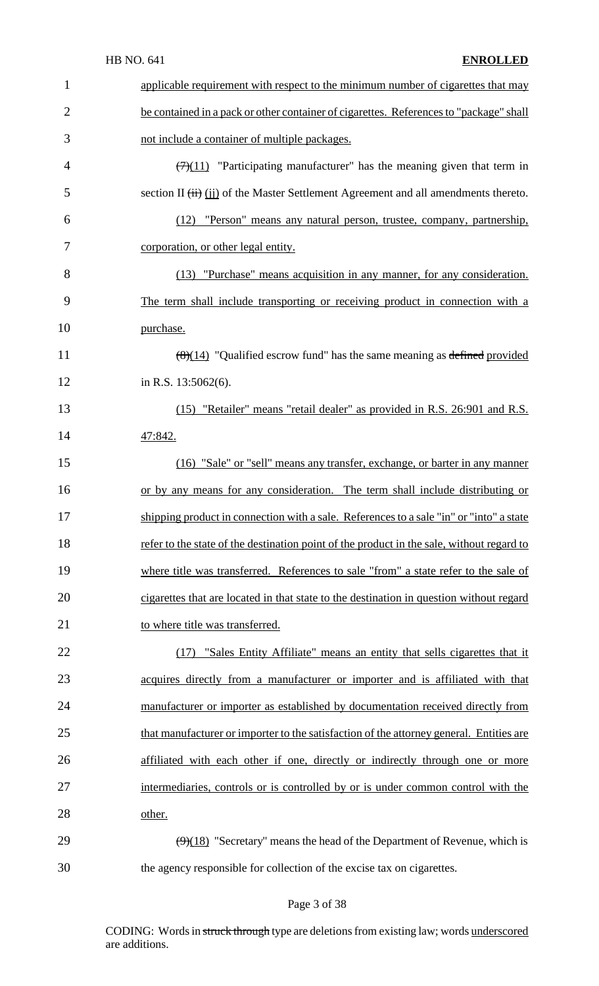| $\mathbf{1}$   | applicable requirement with respect to the minimum number of cigarettes that may                               |
|----------------|----------------------------------------------------------------------------------------------------------------|
| $\overline{2}$ | be contained in a pack or other container of cigarettes. References to "package" shall                         |
| 3              | not include a container of multiple packages.                                                                  |
| $\overline{4}$ | $\left(\frac{7}{11}\right)$ "Participating manufacturer" has the meaning given that term in                    |
| 5              | section II $(ii)$ (ii) of the Master Settlement Agreement and all amendments thereto.                          |
| 6              | (12) "Person" means any natural person, trustee, company, partnership,                                         |
| 7              | corporation, or other legal entity.                                                                            |
| 8              | (13) "Purchase" means acquisition in any manner, for any consideration.                                        |
| 9              | The term shall include transporting or receiving product in connection with a                                  |
| 10             | purchase.                                                                                                      |
| 11             | $\frac{(\mathcal{B})(14)}{(\mathcal{B})(14)}$ "Qualified escrow fund" has the same meaning as defined provided |
| 12             | in R.S. 13:5062(6).                                                                                            |
| 13             | (15) "Retailer" means "retail dealer" as provided in R.S. 26:901 and R.S.                                      |
| 14             | 47:842.                                                                                                        |
| 15             | (16) "Sale" or "sell" means any transfer, exchange, or barter in any manner                                    |
| 16             | or by any means for any consideration. The term shall include distributing or                                  |
| 17             | shipping product in connection with a sale. References to a sale "in" or "into" a state                        |
| 18             | refer to the state of the destination point of the product in the sale, without regard to                      |
| 19             | where title was transferred. References to sale "from" a state refer to the sale of                            |
| 20             | cigarettes that are located in that state to the destination in question without regard                        |
| 21             | to where title was transferred.                                                                                |
| 22             | (17) "Sales Entity Affiliate" means an entity that sells cigarettes that it                                    |
| 23             | acquires directly from a manufacturer or importer and is affiliated with that                                  |
| 24             | manufacturer or importer as established by documentation received directly from                                |
| 25             | that manufacturer or importer to the satisfaction of the attorney general. Entities are                        |
| 26             | affiliated with each other if one, directly or indirectly through one or more                                  |
| 27             | intermediaries, controls or is controlled by or is under common control with the                               |
| 28             | other.                                                                                                         |
| 29             | $\left(\frac{9}{18}\right)$ "Secretary" means the head of the Department of Revenue, which is                  |
|                |                                                                                                                |

# Page 3 of 38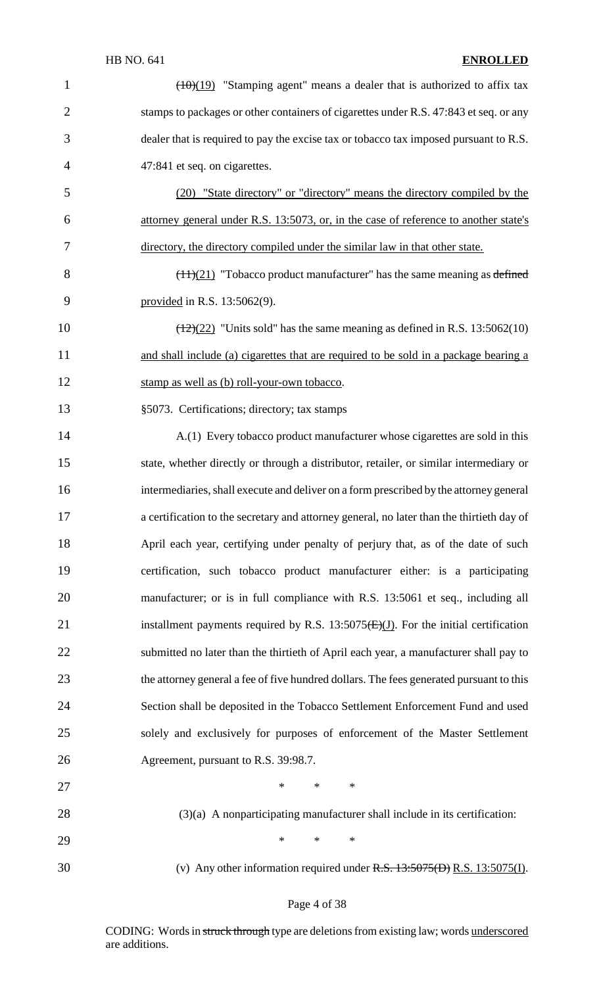| $\mathbf{1}$   | $(10)(19)$ "Stamping agent" means a dealer that is authorized to affix tax                    |
|----------------|-----------------------------------------------------------------------------------------------|
| $\overline{2}$ | stamps to packages or other containers of cigarettes under R.S. 47:843 et seq. or any         |
| 3              | dealer that is required to pay the excise tax or tobacco tax imposed pursuant to R.S.         |
| 4              | 47:841 et seq. on cigarettes.                                                                 |
| 5              | (20) "State directory" or "directory" means the directory compiled by the                     |
| 6              | attorney general under R.S. 13:5073, or, in the case of reference to another state's          |
| 7              | directory, the directory compiled under the similar law in that other state.                  |
| 8              | $\left(\frac{11}{21}\right)$ "Tobacco product manufacturer" has the same meaning as defined   |
| 9              | provided in R.S. $13:5062(9)$ .                                                               |
| 10             | $\left(\frac{12}{22}\right)$ "Units sold" has the same meaning as defined in R.S. 13:5062(10) |
| 11             | and shall include (a) cigarettes that are required to be sold in a package bearing a          |
| 12             | stamp as well as (b) roll-your-own tobacco.                                                   |
| 13             | §5073. Certifications; directory; tax stamps                                                  |
| 14             | A.(1) Every tobacco product manufacturer whose cigarettes are sold in this                    |
| 15             | state, whether directly or through a distributor, retailer, or similar intermediary or        |
| 16             | intermediaries, shall execute and deliver on a form prescribed by the attorney general        |
| 17             | a certification to the secretary and attorney general, no later than the thirtieth day of     |
| 18             | April each year, certifying under penalty of perjury that, as of the date of such             |
| 19             | certification, such tobacco product manufacturer either: is a participating                   |
| 20             | manufacturer; or is in full compliance with R.S. 13:5061 et seq., including all               |
| 21             | installment payments required by R.S. 13:5075 $(E)(J)$ . For the initial certification        |
| 22             | submitted no later than the thirtieth of April each year, a manufacturer shall pay to         |
| 23             | the attorney general a fee of five hundred dollars. The fees generated pursuant to this       |
| 24             | Section shall be deposited in the Tobacco Settlement Enforcement Fund and used                |
| 25             | solely and exclusively for purposes of enforcement of the Master Settlement                   |
| 26             | Agreement, pursuant to R.S. 39:98.7.                                                          |
| 27             | $*$ $*$<br>$*$<br>$\ast$                                                                      |
| 28             | $(3)(a)$ A nonparticipating manufacturer shall include in its certification:                  |
| 29             | $\ast$<br>$\ast$<br>$\ast$                                                                    |
| 30             | (v) Any other information required under $R.S. 13:5075(D) R.S. 13:5075(I)$ .                  |
|                |                                                                                               |

# Page 4 of 38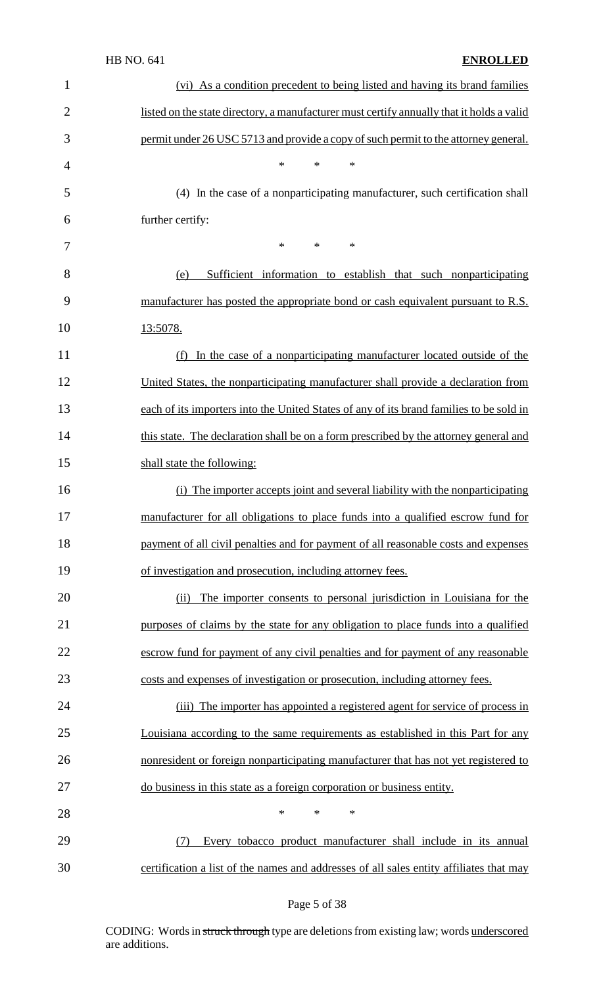| $\mathbf{1}$   | (vi) As a condition precedent to being listed and having its brand families               |
|----------------|-------------------------------------------------------------------------------------------|
| $\overline{2}$ | listed on the state directory, a manufacturer must certify annually that it holds a valid |
| 3              | permit under 26 USC 5713 and provide a copy of such permit to the attorney general.       |
| $\overline{4}$ | $\ast$<br>$\ast$<br>∗                                                                     |
| 5              | (4) In the case of a nonparticipating manufacturer, such certification shall              |
| 6              | further certify:                                                                          |
| 7              | $\ast$<br>$*$<br>∗                                                                        |
| 8              | Sufficient information to establish that such nonparticipating<br>(e)                     |
| 9              | manufacturer has posted the appropriate bond or cash equivalent pursuant to R.S.          |
| 10             | 13:5078.                                                                                  |
| 11             | In the case of a nonparticipating manufacturer located outside of the<br>(f)              |
| 12             | United States, the nonparticipating manufacturer shall provide a declaration from         |
| 13             | each of its importers into the United States of any of its brand families to be sold in   |
| 14             | this state. The declaration shall be on a form prescribed by the attorney general and     |
| 15             | shall state the following:                                                                |
| 16             | The importer accepts joint and several liability with the nonparticipating<br>(i)         |
| 17             | manufacturer for all obligations to place funds into a qualified escrow fund for          |
| 18             | payment of all civil penalties and for payment of all reasonable costs and expenses       |
| 19             | of investigation and prosecution, including attorney fees.                                |
| 20             | The importer consents to personal jurisdiction in Louisiana for the<br>(ii)               |
| 21             | purposes of claims by the state for any obligation to place funds into a qualified        |
| 22             | escrow fund for payment of any civil penalties and for payment of any reasonable          |
| 23             | costs and expenses of investigation or prosecution, including attorney fees.              |
| 24             | (iii) The importer has appointed a registered agent for service of process in             |
| 25             | Louisiana according to the same requirements as established in this Part for any          |
| 26             | nonresident or foreign nonparticipating manufacturer that has not yet registered to       |
| 27             | do business in this state as a foreign corporation or business entity.                    |
|                | *<br>∗<br>$\ast$                                                                          |
| 28             |                                                                                           |
| 29             | Every tobacco product manufacturer shall include in its annual<br>(7)                     |

# Page 5 of 38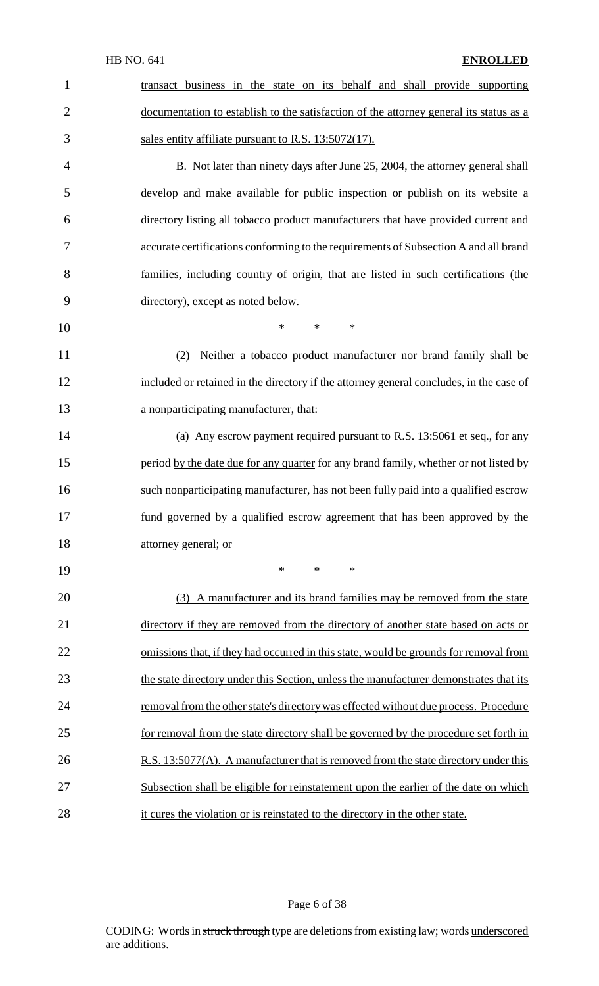transact business in the state on its behalf and shall provide supporting 2 documentation to establish to the satisfaction of the attorney general its status as a sales entity affiliate pursuant to R.S. 13:5072(17).

 B. Not later than ninety days after June 25, 2004, the attorney general shall develop and make available for public inspection or publish on its website a directory listing all tobacco product manufacturers that have provided current and accurate certifications conforming to the requirements of Subsection A and all brand families, including country of origin, that are listed in such certifications (the directory), except as noted below.

\* \* \*

 (2) Neither a tobacco product manufacturer nor brand family shall be included or retained in the directory if the attorney general concludes, in the case of a nonparticipating manufacturer, that:

14 (a) Any escrow payment required pursuant to R.S. 13:5061 et seq., for any **period** by the date due for any quarter for any brand family, whether or not listed by such nonparticipating manufacturer, has not been fully paid into a qualified escrow fund governed by a qualified escrow agreement that has been approved by the attorney general; or

\* \* \*

20 (3) A manufacturer and its brand families may be removed from the state 21 directory if they are removed from the directory of another state based on acts or 22 omissions that, if they had occurred in this state, would be grounds for removal from 23 the state directory under this Section, unless the manufacturer demonstrates that its 24 removal from the other state's directory was effected without due process. Procedure for removal from the state directory shall be governed by the procedure set forth in 26 R.S. 13:5077(A). A manufacturer that is removed from the state directory under this Subsection shall be eligible for reinstatement upon the earlier of the date on which it cures the violation or is reinstated to the directory in the other state.

#### Page 6 of 38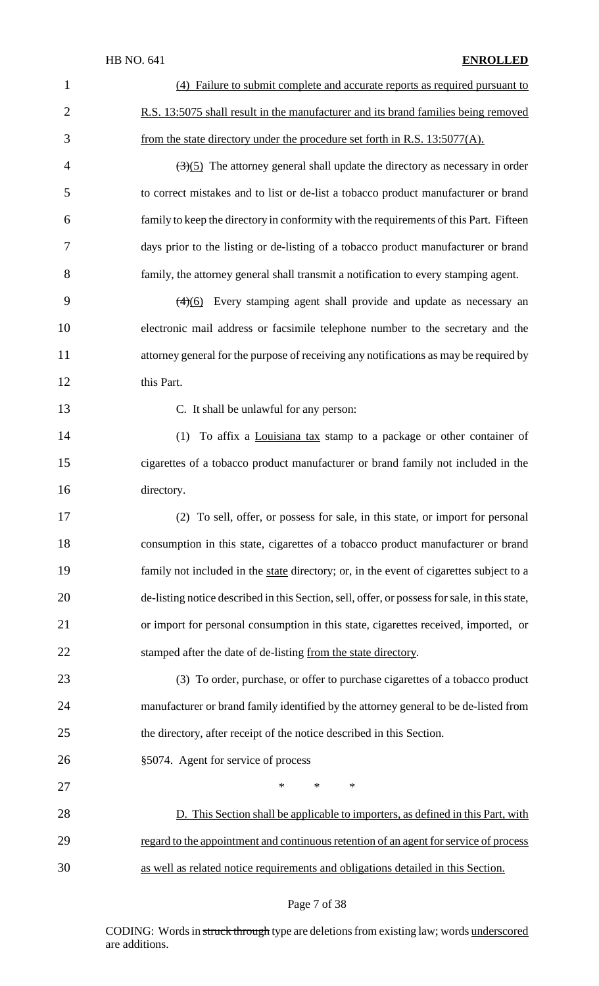| $\mathbf{1}$   | (4) Failure to submit complete and accurate reports as required pursuant to                      |
|----------------|--------------------------------------------------------------------------------------------------|
| $\overline{2}$ | R.S. 13:5075 shall result in the manufacturer and its brand families being removed               |
| 3              | from the state directory under the procedure set forth in R.S. 13:5077(A).                       |
| $\overline{4}$ | $\left(\frac{3}{5}\right)$ The attorney general shall update the directory as necessary in order |
| 5              | to correct mistakes and to list or de-list a tobacco product manufacturer or brand               |
| 6              | family to keep the directory in conformity with the requirements of this Part. Fifteen           |
| 7              | days prior to the listing or de-listing of a tobacco product manufacturer or brand               |
| 8              | family, the attorney general shall transmit a notification to every stamping agent.              |
| 9              | $\left(\frac{4}{6}\right)$ Every stamping agent shall provide and update as necessary an         |
| 10             | electronic mail address or facsimile telephone number to the secretary and the                   |
| 11             | attorney general for the purpose of receiving any notifications as may be required by            |
| 12             | this Part.                                                                                       |
| 13             | C. It shall be unlawful for any person:                                                          |
| 14             | (1) To affix a Louisiana tax stamp to a package or other container of                            |
| 15             | cigarettes of a tobacco product manufacturer or brand family not included in the                 |
| 16             | directory.                                                                                       |
| 17             | (2) To sell, offer, or possess for sale, in this state, or import for personal                   |
| 18             | consumption in this state, cigarettes of a tobacco product manufacturer or brand                 |
| 19             | family not included in the state directory; or, in the event of cigarettes subject to a          |
| 20             | de-listing notice described in this Section, sell, offer, or possess for sale, in this state,    |
| 21             | or import for personal consumption in this state, cigarettes received, imported, or              |
| 22             | stamped after the date of de-listing from the state directory.                                   |
| 23             | (3) To order, purchase, or offer to purchase cigarettes of a tobacco product                     |
| 24             | manufacturer or brand family identified by the attorney general to be de-listed from             |
| 25             | the directory, after receipt of the notice described in this Section.                            |
| 26             | §5074. Agent for service of process                                                              |
| 27             | $\ast$<br>$\ast$<br>$\ast$                                                                       |
| 28             | D. This Section shall be applicable to importers, as defined in this Part, with                  |
| 29             | regard to the appointment and continuous retention of an agent for service of process            |
| 30             | as well as related notice requirements and obligations detailed in this Section.                 |

# Page 7 of 38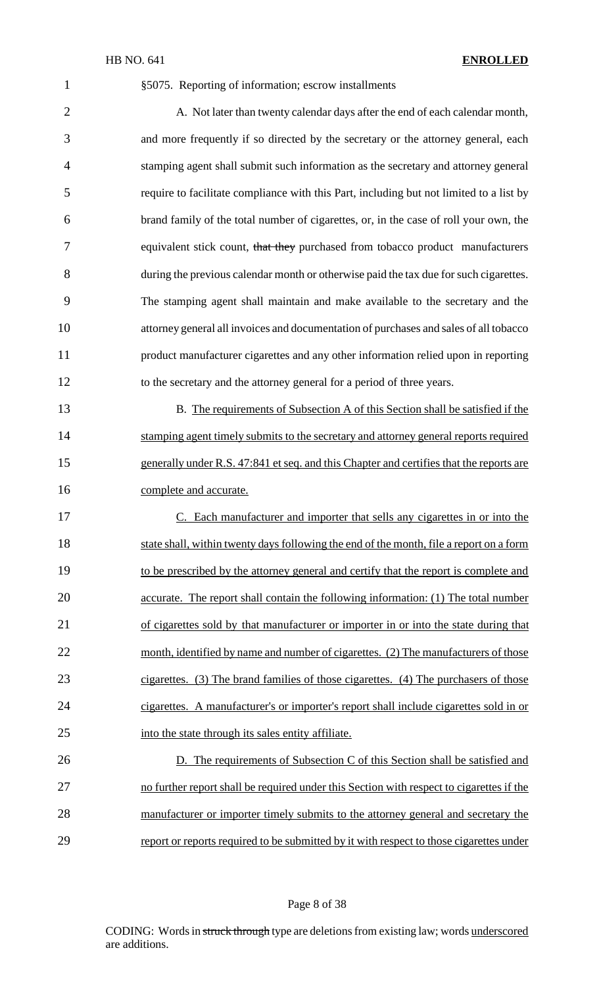|                | HB NO. 641<br><b>ENROLLED</b>                                                            |
|----------------|------------------------------------------------------------------------------------------|
| $\mathbf{1}$   | §5075. Reporting of information; escrow installments                                     |
| $\overline{2}$ | A. Not later than twenty calendar days after the end of each calendar month,             |
| 3              | and more frequently if so directed by the secretary or the attorney general, each        |
| 4              | stamping agent shall submit such information as the secretary and attorney general       |
| 5              | require to facilitate compliance with this Part, including but not limited to a list by  |
| 6              | brand family of the total number of cigarettes, or, in the case of roll your own, the    |
| 7              | equivalent stick count, that they purchased from tobacco product manufacturers           |
| 8              | during the previous calendar month or otherwise paid the tax due for such cigarettes.    |
| 9              | The stamping agent shall maintain and make available to the secretary and the            |
| 10             | attorney general all invoices and documentation of purchases and sales of all tobacco    |
| 11             | product manufacturer cigarettes and any other information relied upon in reporting       |
| 12             | to the secretary and the attorney general for a period of three years.                   |
| 13             | B. The requirements of Subsection A of this Section shall be satisfied if the            |
| 14             | stamping agent timely submits to the secretary and attorney general reports required     |
| 15             | generally under R.S. 47:841 et seq. and this Chapter and certifies that the reports are  |
| 16             | complete and accurate.                                                                   |
| 17             | C. Each manufacturer and importer that sells any cigarettes in or into the               |
| 18             | state shall, within twenty days following the end of the month, file a report on a form  |
| 19             | to be prescribed by the attorney general and certify that the report is complete and     |
| 20             | accurate. The report shall contain the following information: (1) The total number       |
| 21             | of cigarettes sold by that manufacturer or importer in or into the state during that     |
| 22             | month, identified by name and number of cigarettes. (2) The manufacturers of those       |
| 23             | cigarettes. (3) The brand families of those cigarettes. (4) The purchasers of those      |
| 24             | cigarettes. A manufacturer's or importer's report shall include cigarettes sold in or    |
| 25             | into the state through its sales entity affiliate.                                       |
| 26             | D. The requirements of Subsection C of this Section shall be satisfied and               |
| 27             | no further report shall be required under this Section with respect to cigarettes if the |
| 28             | manufacturer or importer timely submits to the attorney general and secretary the        |

29 report or reports required to be submitted by it with respect to those cigarettes under

#### Page 8 of 38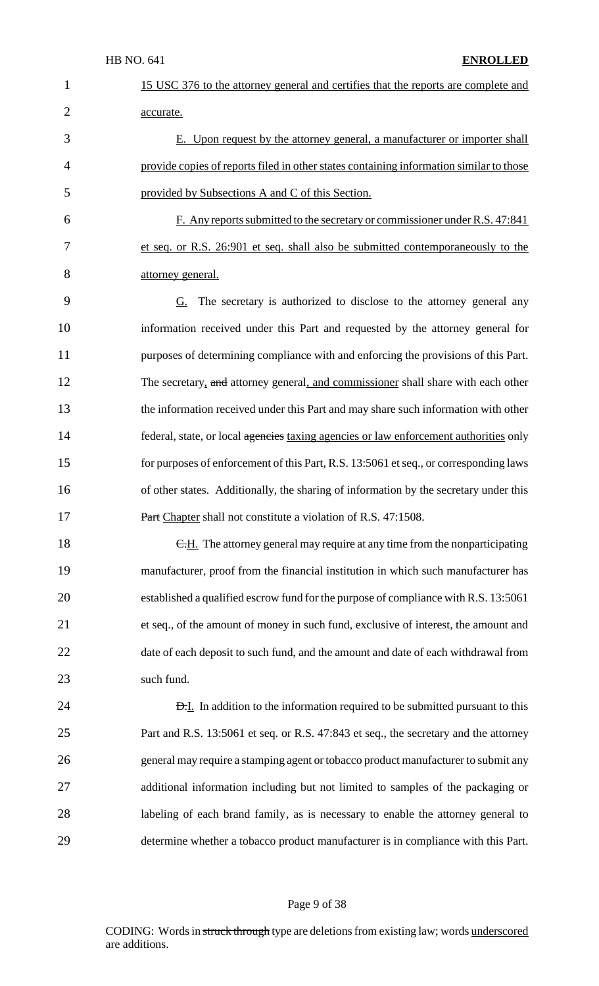| $\mathbf 1$    | 15 USC 376 to the attorney general and certifies that the reports are complete and      |
|----------------|-----------------------------------------------------------------------------------------|
| $\overline{2}$ | accurate.                                                                               |
| 3              | E. Upon request by the attorney general, a manufacturer or importer shall               |
| $\overline{4}$ | provide copies of reports filed in other states containing information similar to those |
| 5              | provided by Subsections A and C of this Section.                                        |
| 6              | F. Any reports submitted to the secretary or commissioner under R.S. 47:841             |
| 7              | et seq. or R.S. 26:901 et seq. shall also be submitted contemporaneously to the         |
| 8              | <u>attorney</u> general.                                                                |
| 9              | $G$ . The secretary is authorized to disclose to the attorney general any               |
| 10             | information received under this Part and requested by the attorney general for          |
| 11             | purposes of determining compliance with and enforcing the provisions of this Part.      |
| 12             | The secretary, and attorney general, and commissioner shall share with each other       |
| 13             | the information received under this Part and may share such information with other      |
| 14             | federal, state, or local agencies taxing agencies or law enforcement authorities only   |
| 15             | for purposes of enforcement of this Part, R.S. 13:5061 et seq., or corresponding laws   |
| 16             | of other states. Additionally, the sharing of information by the secretary under this   |
| 17             | Part Chapter shall not constitute a violation of R.S. 47:1508.                          |
| 18             | E.H. The attorney general may require at any time from the nonparticipating             |
| 19             | manufacturer, proof from the financial institution in which such manufacturer has       |
| 20             | established a qualified escrow fund for the purpose of compliance with R.S. 13:5061     |
| 21             | et seq., of the amount of money in such fund, exclusive of interest, the amount and     |
| 22             | date of each deposit to such fund, and the amount and date of each withdrawal from      |
| 23             | such fund.                                                                              |
| 24             | <b>D.I.</b> In addition to the information required to be submitted pursuant to this    |
| 25             | Part and R.S. 13:5061 et seq. or R.S. 47:843 et seq., the secretary and the attorney    |
| 26             | general may require a stamping agent or tobacco product manufacturer to submit any      |
| 27             | additional information including but not limited to samples of the packaging or         |
| 28             | labeling of each brand family, as is necessary to enable the attorney general to        |
| 29             | determine whether a tobacco product manufacturer is in compliance with this Part.       |

# Page 9 of 38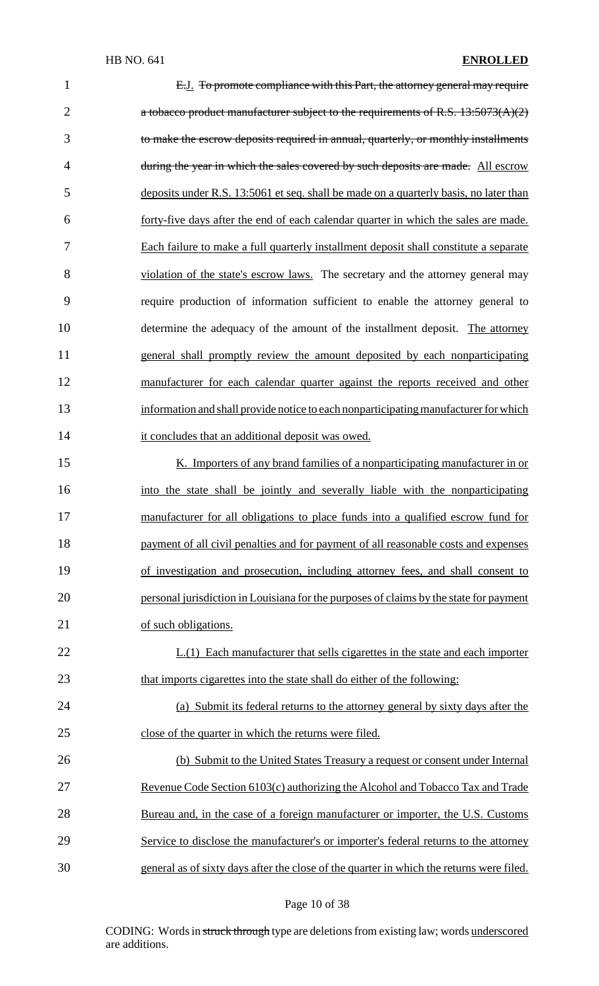| $\mathbf 1$    | E.J. To promote compliance with this Part, the attorney general may require              |
|----------------|------------------------------------------------------------------------------------------|
| $\overline{2}$ | a tobacco product manufacturer subject to the requirements of R.S. $13:5073(A)(2)$       |
| 3              | to make the escrow deposits required in annual, quarterly, or monthly installments       |
| $\overline{4}$ | during the year in which the sales covered by such deposits are made. All escrow         |
| 5              | deposits under R.S. 13:5061 et seq. shall be made on a quarterly basis, no later than    |
| 6              | forty-five days after the end of each calendar quarter in which the sales are made.      |
| 7              | Each failure to make a full quarterly installment deposit shall constitute a separate    |
| 8              | violation of the state's escrow laws. The secretary and the attorney general may         |
| 9              | require production of information sufficient to enable the attorney general to           |
| 10             | determine the adequacy of the amount of the installment deposit. The attorney            |
| 11             | general shall promptly review the amount deposited by each nonparticipating              |
| 12             | manufacturer for each calendar quarter against the reports received and other            |
| 13             | information and shall provide notice to each nonparticipating manufacturer for which     |
| 14             | it concludes that an additional deposit was owed.                                        |
| 15             | K. Importers of any brand families of a nonparticipating manufacturer in or              |
| 16             | into the state shall be jointly and severally liable with the nonparticipating           |
| 17             | manufacturer for all obligations to place funds into a qualified escrow fund for         |
| 18             | payment of all civil penalties and for payment of all reasonable costs and expenses      |
| 19             | of investigation and prosecution, including attorney fees, and shall consent to          |
| 20             | personal jurisdiction in Louisiana for the purposes of claims by the state for payment   |
| 21             | of such obligations.                                                                     |
| 22             | $L(1)$ Each manufacturer that sells cigarettes in the state and each importer            |
| 23             | that imports cigarettes into the state shall do either of the following:                 |
| 24             | (a) Submit its federal returns to the attorney general by sixty days after the           |
| 25             | close of the quarter in which the returns were filed.                                    |
| 26             | (b) Submit to the United States Treasury a request or consent under Internal             |
| 27             | Revenue Code Section 6103(c) authorizing the Alcohol and Tobacco Tax and Trade           |
| 28             | Bureau and, in the case of a foreign manufacturer or importer, the U.S. Customs          |
| 29             | Service to disclose the manufacturer's or importer's federal returns to the attorney     |
| 30             | general as of sixty days after the close of the quarter in which the returns were filed. |

# Page 10 of 38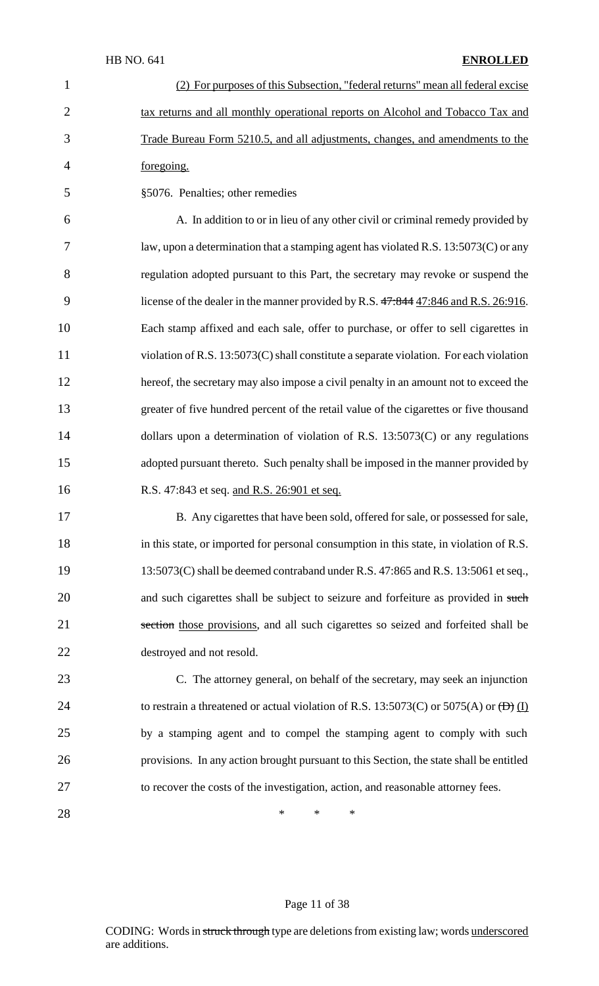|                | (2) For purposes of this Subsection, "federal returns" mean all federal excise        |
|----------------|---------------------------------------------------------------------------------------|
| 2              | tax returns and all monthly operational reports on Alcohol and Tobacco Tax and        |
| 3              | Trade Bureau Form 5210.5, and all adjustments, changes, and amendments to the         |
| $\overline{4}$ | foregoing.                                                                            |
| 5              | §5076. Penalties; other remedies                                                      |
| 6              | A. In addition to or in lieu of any other civil or criminal remedy provided by        |
|                | law, upon a determination that a stamping agent has violated R.S. $13:5073(C)$ or any |
| 8              | regulation adopted pursuant to this Part, the secretary may revoke or suspend the     |

9 license of the dealer in the manner provided by R.S.  $47:844$  47:846 and R.S. 26:916. 10 Each stamp affixed and each sale, offer to purchase, or offer to sell cigarettes in 11 violation of R.S. 13:5073(C) shall constitute a separate violation. For each violation 12 hereof, the secretary may also impose a civil penalty in an amount not to exceed the 13 greater of five hundred percent of the retail value of the cigarettes or five thousand 14 dollars upon a determination of violation of R.S. 13:5073(C) or any regulations 15 adopted pursuant thereto. Such penalty shall be imposed in the manner provided by 16 R.S. 47:843 et seq. and R.S. 26:901 et seq.

17 B. Any cigarettes that have been sold, offered for sale, or possessed for sale, 18 in this state, or imported for personal consumption in this state, in violation of R.S. 19 13:5073(C) shall be deemed contraband under R.S. 47:865 and R.S. 13:5061 et seq., 20 and such cigarettes shall be subject to seizure and forfeiture as provided in such 21 section those provisions, and all such cigarettes so seized and forfeited shall be 22 destroyed and not resold.

 C. The attorney general, on behalf of the secretary, may seek an injunction 24 to restrain a threatened or actual violation of R.S. 13:5073(C) or 5075(A) or  $fD$  (I) by a stamping agent and to compel the stamping agent to comply with such provisions. In any action brought pursuant to this Section, the state shall be entitled to recover the costs of the investigation, action, and reasonable attorney fees.

28 **\*** \* \* \*

#### Page 11 of 38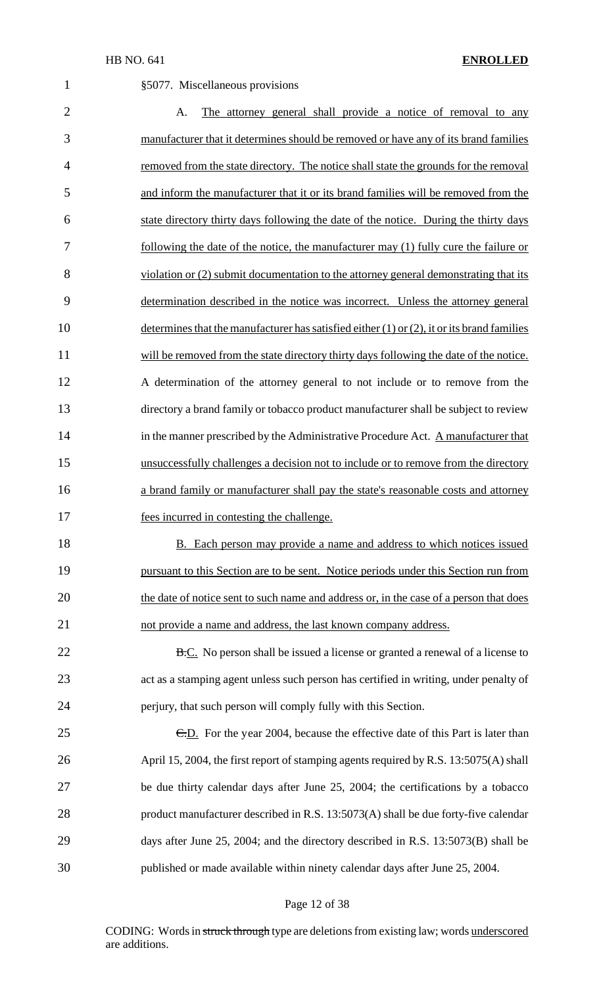| $\mathbf 1$    | §5077. Miscellaneous provisions                                                                 |
|----------------|-------------------------------------------------------------------------------------------------|
| $\overline{2}$ | The attorney general shall provide a notice of removal to any<br>A.                             |
| 3              | manufacturer that it determines should be removed or have any of its brand families             |
| 4              | removed from the state directory. The notice shall state the grounds for the removal            |
| 5              | and inform the manufacturer that it or its brand families will be removed from the              |
| 6              | state directory thirty days following the date of the notice. During the thirty days            |
| 7              | following the date of the notice, the manufacturer may (1) fully cure the failure or            |
| 8              | violation or (2) submit documentation to the attorney general demonstrating that its            |
| 9              | determination described in the notice was incorrect. Unless the attorney general                |
| 10             | determines that the manufacturer has satisfied either $(1)$ or $(2)$ , it or its brand families |
| 11             | will be removed from the state directory thirty days following the date of the notice.          |
| 12             | A determination of the attorney general to not include or to remove from the                    |
| 13             | directory a brand family or tobacco product manufacturer shall be subject to review             |
| 14             | in the manner prescribed by the Administrative Procedure Act. A manufacturer that               |
| 15             | unsuccessfully challenges a decision not to include or to remove from the directory             |
| 16             | a brand family or manufacturer shall pay the state's reasonable costs and attorney              |
| 17             | fees incurred in contesting the challenge.                                                      |
| 18             | <b>B.</b> Each person may provide a name and address to which notices issued                    |
| 19             | pursuant to this Section are to be sent. Notice periods under this Section run from             |
| 20             | the date of notice sent to such name and address or, in the case of a person that does          |
| 21             | not provide a name and address, the last known company address.                                 |
| 22             | <b>B.C.</b> No person shall be issued a license or granted a renewal of a license to            |
| 23             | act as a stamping agent unless such person has certified in writing, under penalty of           |
| 24             | perjury, that such person will comply fully with this Section.                                  |
| 25             | E.D. For the year 2004, because the effective date of this Part is later than                   |
| 26             | April 15, 2004, the first report of stamping agents required by R.S. 13:5075(A) shall           |
| 27             | be due thirty calendar days after June 25, 2004; the certifications by a tobacco                |
| 28             | product manufacturer described in R.S. 13:5073(A) shall be due forty-five calendar              |
| 29             | days after June 25, 2004; and the directory described in R.S. 13:5073(B) shall be               |
| 30             | published or made available within ninety calendar days after June 25, 2004.                    |
|                |                                                                                                 |

# Page 12 of 38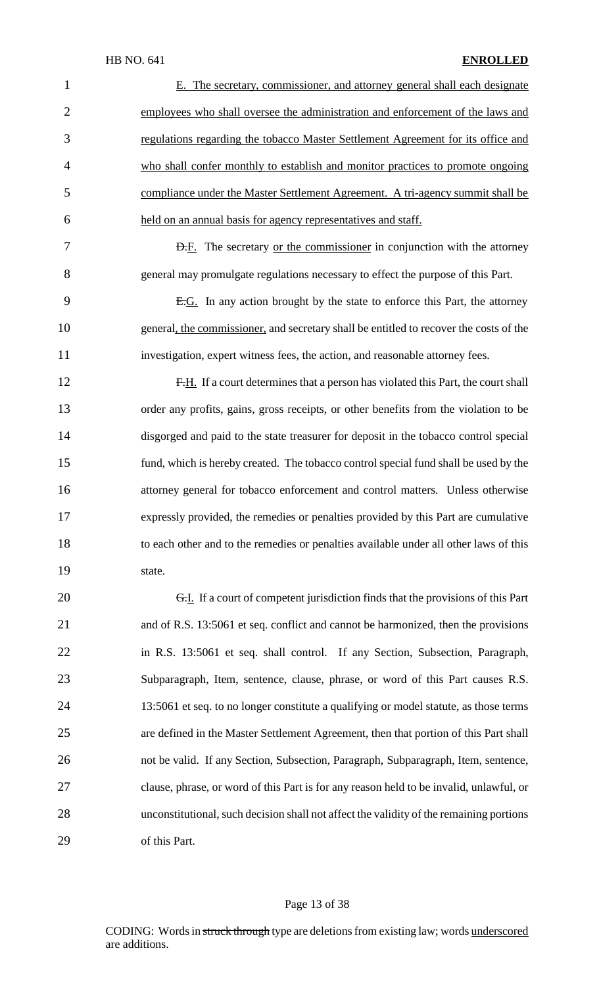| $\mathbf{1}$   | E. The secretary, commissioner, and attorney general shall each designate               |
|----------------|-----------------------------------------------------------------------------------------|
| $\overline{2}$ | employees who shall oversee the administration and enforcement of the laws and          |
| 3              | regulations regarding the tobacco Master Settlement Agreement for its office and        |
| 4              | who shall confer monthly to establish and monitor practices to promote ongoing          |
| 5              | compliance under the Master Settlement Agreement. A tri-agency summit shall be          |
| 6              | held on an annual basis for agency representatives and staff.                           |
| 7              | <b>D.F.</b> The secretary <u>or the commissioner</u> in conjunction with the attorney   |
| 8              | general may promulgate regulations necessary to effect the purpose of this Part.        |
| 9              | E.G. In any action brought by the state to enforce this Part, the attorney              |
| 10             | general, the commissioner, and secretary shall be entitled to recover the costs of the  |
| 11             | investigation, expert witness fees, the action, and reasonable attorney fees.           |
| 12             | F.H. If a court determines that a person has violated this Part, the court shall        |
| 13             | order any profits, gains, gross receipts, or other benefits from the violation to be    |
| 14             | disgorged and paid to the state treasurer for deposit in the tobacco control special    |
| 15             | fund, which is hereby created. The tobacco control special fund shall be used by the    |
| 16             | attorney general for tobacco enforcement and control matters. Unless otherwise          |
| 17             | expressly provided, the remedies or penalties provided by this Part are cumulative      |
| 18             | to each other and to the remedies or penalties available under all other laws of this   |
| 19             | state.                                                                                  |
| 20             | G.I. If a court of competent jurisdiction finds that the provisions of this Part        |
| 21             | and of R.S. 13:5061 et seq. conflict and cannot be harmonized, then the provisions      |
| 22             | in R.S. 13:5061 et seq. shall control. If any Section, Subsection, Paragraph,           |
| 23             | Subparagraph, Item, sentence, clause, phrase, or word of this Part causes R.S.          |
| 24             | 13:5061 et seq. to no longer constitute a qualifying or model statute, as those terms   |
| 25             | are defined in the Master Settlement Agreement, then that portion of this Part shall    |
| 26             | not be valid. If any Section, Subsection, Paragraph, Subparagraph, Item, sentence,      |
| 27             | clause, phrase, or word of this Part is for any reason held to be invalid, unlawful, or |
| 28             | unconstitutional, such decision shall not affect the validity of the remaining portions |
| 29             | of this Part.                                                                           |

# Page 13 of 38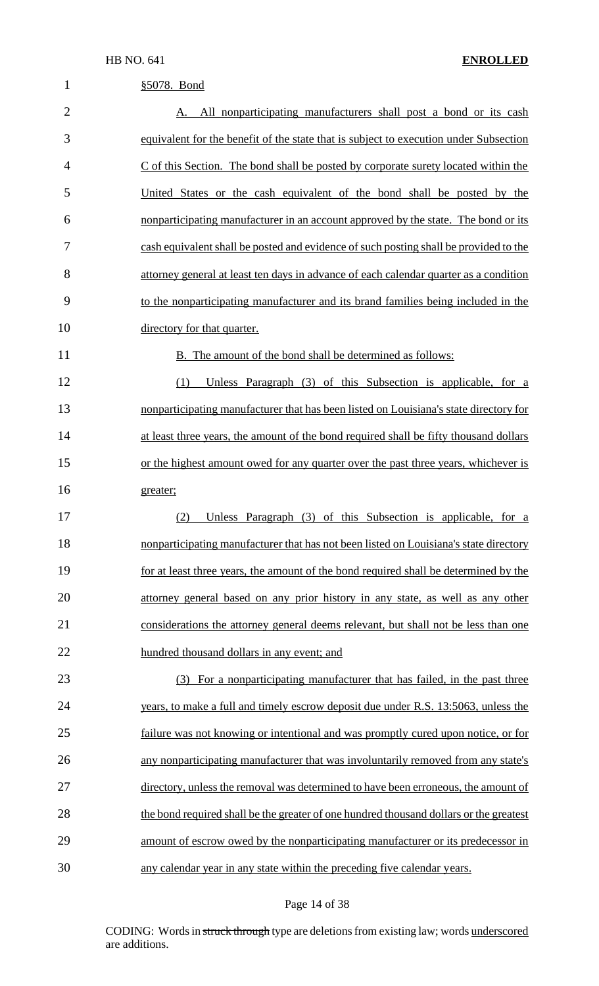| $\mathbf{1}$   | §5078. Bond                                                                            |
|----------------|----------------------------------------------------------------------------------------|
| $\overline{2}$ | All nonparticipating manufacturers shall post a bond or its cash<br>A.                 |
| 3              | equivalent for the benefit of the state that is subject to execution under Subsection  |
| 4              | $C$ of this Section. The bond shall be posted by corporate surety located within the   |
| 5              | United States or the cash equivalent of the bond shall be posted by the                |
| 6              | nonparticipating manufacturer in an account approved by the state. The bond or its     |
| 7              | cash equivalent shall be posted and evidence of such posting shall be provided to the  |
| 8              | attorney general at least ten days in advance of each calendar quarter as a condition  |
| 9              | to the nonparticipating manufacturer and its brand families being included in the      |
| 10             | directory for that quarter.                                                            |
| 11             | B. The amount of the bond shall be determined as follows:                              |
| 12             | Unless Paragraph (3) of this Subsection is applicable, for a<br>(1)                    |
| 13             | nonparticipating manufacturer that has been listed on Louisiana's state directory for  |
| 14             | at least three years, the amount of the bond required shall be fifty thousand dollars  |
| 15             | or the highest amount owed for any quarter over the past three years, whichever is     |
| 16             | greater;                                                                               |
| 17             | (2) Unless Paragraph (3) of this Subsection is applicable, for a                       |
| 18             | nonparticipating manufacturer that has not been listed on Louisiana's state directory  |
| 19             | for at least three years, the amount of the bond required shall be determined by the   |
| 20             | attorney general based on any prior history in any state, as well as any other         |
| 21             | considerations the attorney general deems relevant, but shall not be less than one     |
| 22             | hundred thousand dollars in any event; and                                             |
| 23             | (3) For a nonparticipating manufacturer that has failed, in the past three             |
| 24             | years, to make a full and timely escrow deposit due under R.S. 13:5063, unless the     |
| 25             | failure was not knowing or intentional and was promptly cured upon notice, or for      |
| 26             | any nonparticipating manufacturer that was involuntarily removed from any state's      |
| 27             | directory, unless the removal was determined to have been erroneous, the amount of     |
| 28             | the bond required shall be the greater of one hundred thousand dollars or the greatest |
| 29             | amount of escrow owed by the nonparticipating manufacturer or its predecessor in       |
| 30             | any calendar year in any state within the preceding five calendar years.               |

# Page 14 of 38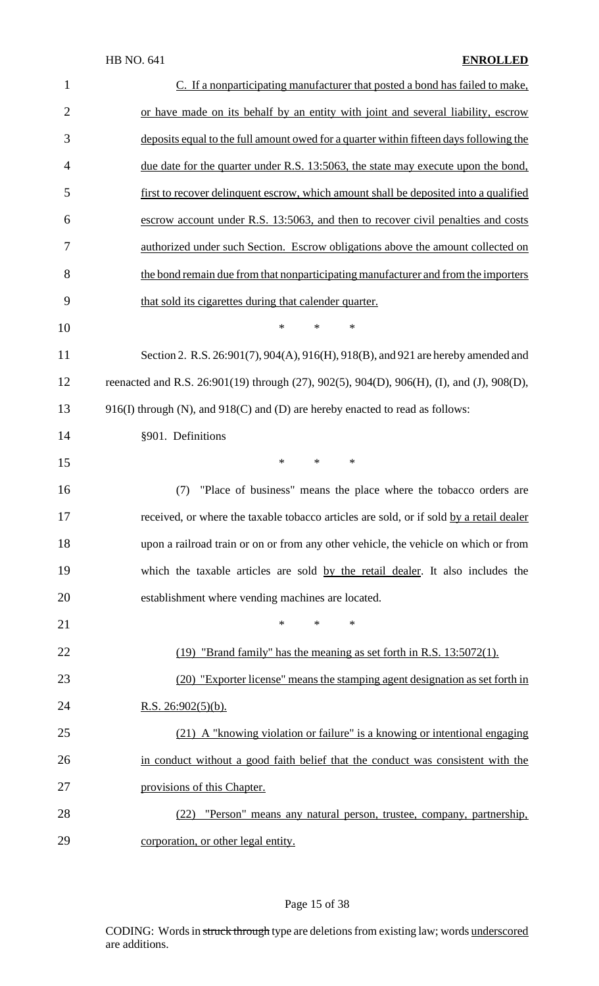| $\mathbf{1}$   | C. If a nonparticipating manufacturer that posted a bond has failed to make,              |
|----------------|-------------------------------------------------------------------------------------------|
| $\overline{2}$ | or have made on its behalf by an entity with joint and several liability, escrow          |
| 3              | deposits equal to the full amount owed for a quarter within fifteen days following the    |
| $\overline{4}$ | due date for the quarter under R.S. 13:5063, the state may execute upon the bond,         |
| 5              | first to recover delinquent escrow, which amount shall be deposited into a qualified      |
| 6              | escrow account under R.S. 13:5063, and then to recover civil penalties and costs          |
| 7              | authorized under such Section. Escrow obligations above the amount collected on           |
| 8              | the bond remain due from that nonparticipating manufacturer and from the importers        |
| 9              | that sold its cigarettes during that calender quarter.                                    |
| 10             | $\ast$<br>*<br>$\ast$                                                                     |
| 11             | Section 2. R.S. 26:901(7), 904(A), 916(H), 918(B), and 921 are hereby amended and         |
| 12             | reenacted and R.S. 26:901(19) through (27), 902(5), 904(D), 906(H), (I), and (J), 908(D), |
| 13             | 916(I) through (N), and 918(C) and (D) are hereby enacted to read as follows:             |
| 14             | §901. Definitions                                                                         |
| 15             | $\ast$<br>*<br>$\ast$                                                                     |
| 16             | "Place of business" means the place where the tobacco orders are<br>(7)                   |
| 17             | received, or where the taxable tobacco articles are sold, or if sold by a retail dealer   |
| 18             | upon a railroad train or on or from any other vehicle, the vehicle on which or from       |
| 19             | which the taxable articles are sold by the retail dealer. It also includes the            |
| 20             | establishment where vending machines are located.                                         |
| 21             | $\ast$<br>$\ast$<br>*                                                                     |
| 22             | (19) "Brand family" has the meaning as set forth in R.S. 13:5072(1).                      |
| 23             | (20) "Exporter license" means the stamping agent designation as set forth in              |
| 24             | <u>R.S. 26:902(5)(b).</u>                                                                 |
| 25             | (21) A "knowing violation or failure" is a knowing or intentional engaging                |
| 26             | in conduct without a good faith belief that the conduct was consistent with the           |
| 27             | provisions of this Chapter.                                                               |
| 28             | "Person" means any natural person, trustee, company, partnership,<br>(22)                 |
| 29             | corporation, or other legal entity.                                                       |

# Page 15 of 38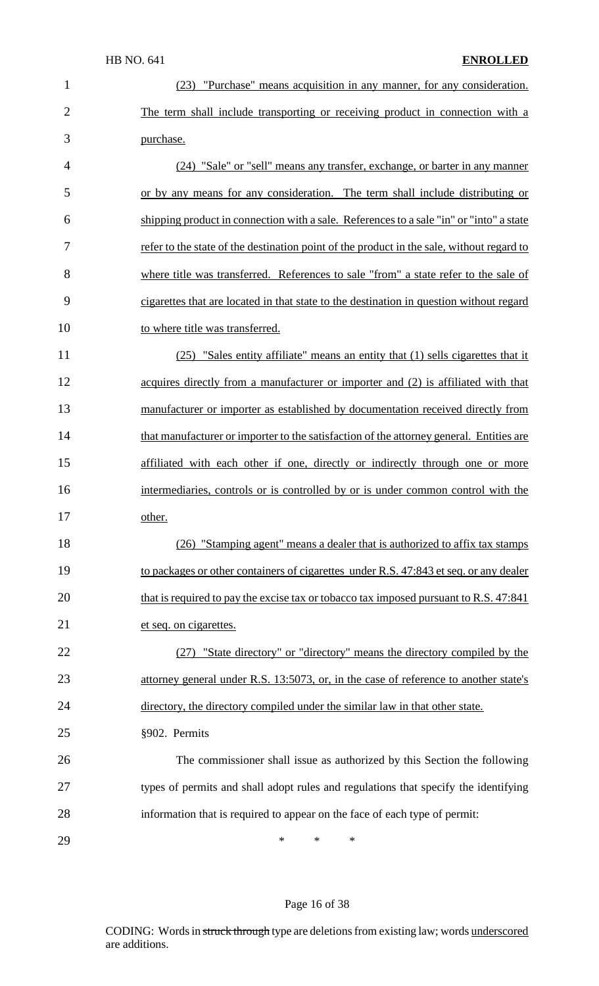| $\mathbf{1}$   | "Purchase" means acquisition in any manner, for any consideration.<br>(23)                |
|----------------|-------------------------------------------------------------------------------------------|
| $\overline{2}$ | The term shall include transporting or receiving product in connection with a             |
| 3              | purchase.                                                                                 |
| $\overline{4}$ | (24) "Sale" or "sell" means any transfer, exchange, or barter in any manner               |
| 5              | or by any means for any consideration. The term shall include distributing or             |
| 6              | shipping product in connection with a sale. References to a sale "in" or "into" a state   |
| 7              | refer to the state of the destination point of the product in the sale, without regard to |
| 8              | where title was transferred. References to sale "from" a state refer to the sale of       |
| 9              | cigarettes that are located in that state to the destination in question without regard   |
| 10             | to where title was transferred.                                                           |
| 11             | (25) "Sales entity affiliate" means an entity that (1) sells cigarettes that it           |
| 12             | acquires directly from a manufacturer or importer and (2) is affiliated with that         |
| 13             | manufacturer or importer as established by documentation received directly from           |
| 14             | that manufacturer or importer to the satisfaction of the attorney general. Entities are   |
| 15             | affiliated with each other if one, directly or indirectly through one or more             |
| 16             | intermediaries, controls or is controlled by or is under common control with the          |
| 17             | other.                                                                                    |
| 18             | (26) "Stamping agent" means a dealer that is authorized to affix tax stamps               |
| 19             | to packages or other containers of cigarettes under R.S. 47:843 et seq. or any dealer     |
| 20             | that is required to pay the excise tax or tobacco tax imposed pursuant to R.S. 47:841     |
| 21             | et seq. on cigarettes.                                                                    |
| 22             | (27) "State directory" or "directory" means the directory compiled by the                 |
| 23             | attorney general under R.S. 13:5073, or, in the case of reference to another state's      |
| 24             | directory, the directory compiled under the similar law in that other state.              |
| 25             | §902. Permits                                                                             |
| 26             | The commissioner shall issue as authorized by this Section the following                  |
| 27             | types of permits and shall adopt rules and regulations that specify the identifying       |
| 28             | information that is required to appear on the face of each type of permit:                |
| 29             | *<br>*<br>∗                                                                               |

# Page 16 of 38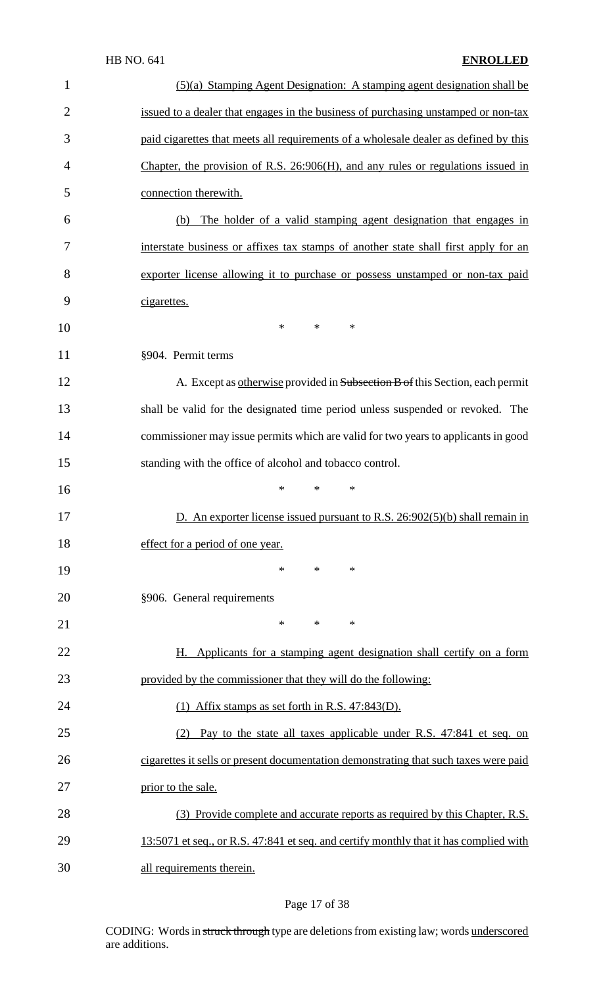| $\mathbf{1}$   | (5)(a) Stamping Agent Designation: A stamping agent designation shall be              |
|----------------|---------------------------------------------------------------------------------------|
| $\overline{2}$ | issued to a dealer that engages in the business of purchasing unstamped or non-tax    |
| 3              | paid cigarettes that meets all requirements of a wholesale dealer as defined by this  |
| 4              | Chapter, the provision of R.S. $26:906(H)$ , and any rules or regulations issued in   |
| 5              | connection therewith.                                                                 |
| 6              | The holder of a valid stamping agent designation that engages in<br>(b)               |
| 7              | interstate business or affixes tax stamps of another state shall first apply for an   |
| 8              | exporter license allowing it to purchase or possess unstamped or non-tax paid         |
| 9              | cigarettes.                                                                           |
| 10             | $\ast$<br>$\ast$<br>$\ast$                                                            |
| 11             | §904. Permit terms                                                                    |
| 12             | A. Except as otherwise provided in Subsection B of this Section, each permit          |
| 13             | shall be valid for the designated time period unless suspended or revoked. The        |
| 14             | commissioner may issue permits which are valid for two years to applicants in good    |
| 15             | standing with the office of alcohol and tobacco control.                              |
| 16             | $\ast$<br>$\ast$<br>∗                                                                 |
| 17             | D. An exporter license issued pursuant to R.S. $26:902(5)(b)$ shall remain in         |
| 18             | effect for a period of one year.                                                      |
| 19             | *<br>$\ast$<br>∗                                                                      |
| 20             | §906. General requirements                                                            |
| 21             | *<br>$\ast$<br>∗                                                                      |
| 22             | H. Applicants for a stamping agent designation shall certify on a form                |
| 23             | provided by the commissioner that they will do the following:                         |
| 24             | $(1)$ Affix stamps as set forth in R.S. 47:843(D).                                    |
| 25             | Pay to the state all taxes applicable under R.S. 47:841 et seq. on<br>(2)             |
| 26             | cigarettes it sells or present documentation demonstrating that such taxes were paid  |
| 27             | prior to the sale.                                                                    |
| 28             | (3) Provide complete and accurate reports as required by this Chapter, R.S.           |
| 29             | 13:5071 et seq., or R.S. 47:841 et seq. and certify monthly that it has complied with |
| 30             | all requirements therein.                                                             |

# Page 17 of 38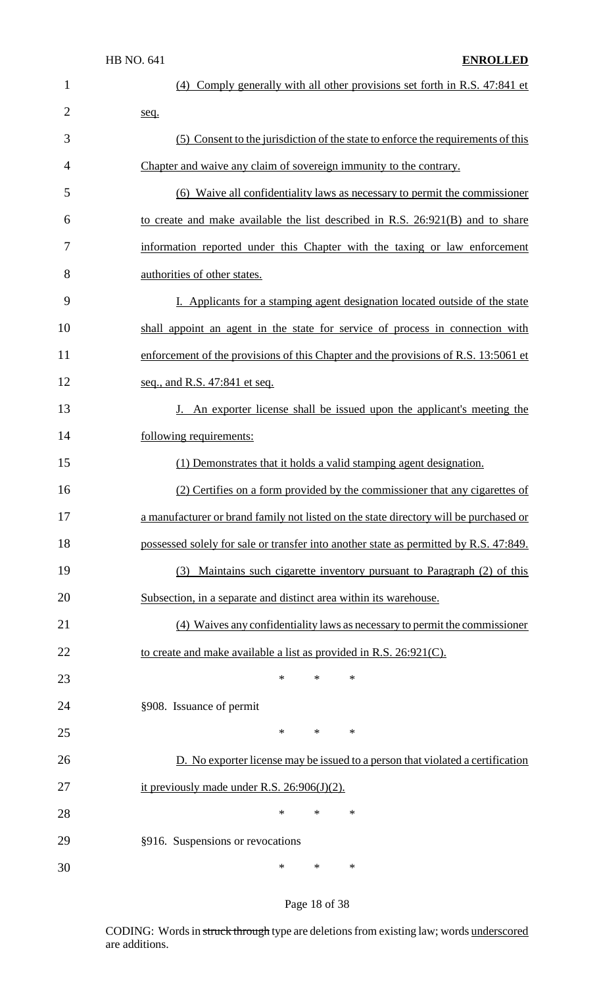| 1              | (4) Comply generally with all other provisions set forth in R.S. 47:841 et            |
|----------------|---------------------------------------------------------------------------------------|
| $\overline{2}$ | seq.                                                                                  |
| 3              | (5) Consent to the jurisdiction of the state to enforce the requirements of this      |
| 4              | Chapter and waive any claim of sovereign immunity to the contrary.                    |
| 5              | (6) Waive all confidentiality laws as necessary to permit the commissioner            |
| 6              | to create and make available the list described in R.S. 26:921(B) and to share        |
| 7              | information reported under this Chapter with the taxing or law enforcement            |
| 8              | authorities of other states.                                                          |
| 9              | I. Applicants for a stamping agent designation located outside of the state           |
| 10             | shall appoint an agent in the state for service of process in connection with         |
| 11             | enforcement of the provisions of this Chapter and the provisions of R.S. 13:5061 et   |
| 12             | seq., and R.S. 47:841 et seq.                                                         |
| 13             | J. An exporter license shall be issued upon the applicant's meeting the               |
| 14             | following requirements:                                                               |
| 15             | (1) Demonstrates that it holds a valid stamping agent designation.                    |
| 16             | (2) Certifies on a form provided by the commissioner that any cigarettes of           |
| 17             | a manufacturer or brand family not listed on the state directory will be purchased or |
| 18             | possessed solely for sale or transfer into another state as permitted by R.S. 47:849. |
| 19             | (3) Maintains such cigarette inventory pursuant to Paragraph (2) of this              |
| 20             | Subsection, in a separate and distinct area within its warehouse.                     |
| 21             | (4) Waives any confidentiality laws as necessary to permit the commissioner           |
| 22             | to create and make available a list as provided in R.S. 26:921(C).                    |
| 23             | $\ast$<br>*<br>$\ast$                                                                 |
| 24             | §908. Issuance of permit                                                              |
| 25             | $\ast$<br>*<br>∗                                                                      |
| 26             | D. No exporter license may be issued to a person that violated a certification        |
| 27             | it previously made under R.S. $26:906(J)(2)$ .                                        |
| 28             | $\ast$<br>*<br>∗                                                                      |
| 29             | §916. Suspensions or revocations                                                      |
| 30             | $\ast$<br>*<br>∗                                                                      |

# Page 18 of 38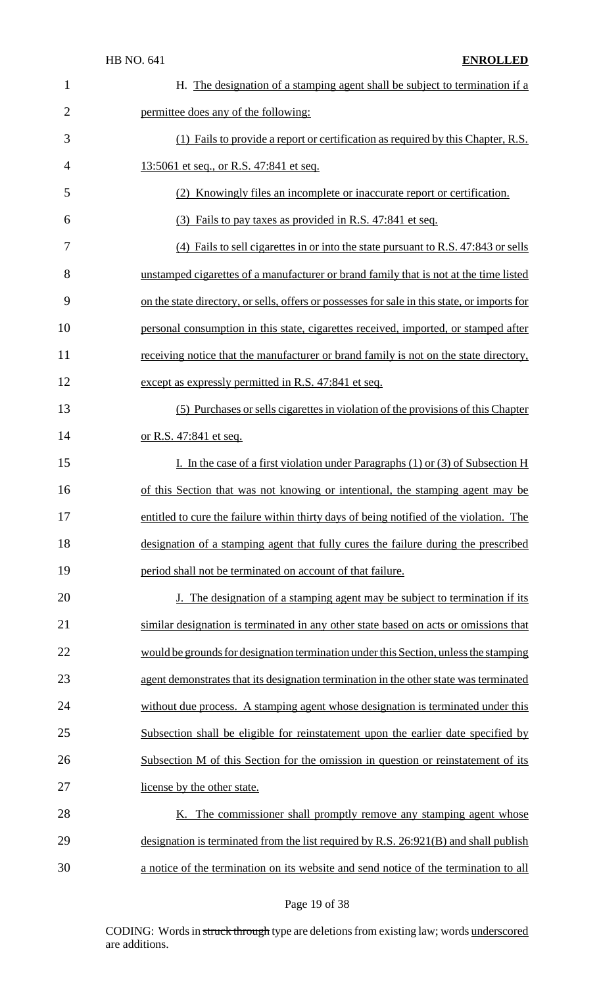| $\mathbf{1}$   | H. The designation of a stamping agent shall be subject to termination if a                  |
|----------------|----------------------------------------------------------------------------------------------|
| $\overline{2}$ | permittee does any of the following:                                                         |
| 3              | (1) Fails to provide a report or certification as required by this Chapter, R.S.             |
| $\overline{4}$ | 13:5061 et seq., or R.S. 47:841 et seq.                                                      |
| 5              | (2) Knowingly files an incomplete or inaccurate report or certification.                     |
| 6              | (3) Fails to pay taxes as provided in R.S. 47:841 et seq.                                    |
| 7              | (4) Fails to sell cigarettes in or into the state pursuant to R.S. 47:843 or sells           |
| 8              | unstamped cigarettes of a manufacturer or brand family that is not at the time listed        |
| 9              | on the state directory, or sells, offers or possesses for sale in this state, or imports for |
| 10             | personal consumption in this state, cigarettes received, imported, or stamped after          |
| 11             | receiving notice that the manufacturer or brand family is not on the state directory,        |
| 12             | except as expressly permitted in R.S. 47:841 et seq.                                         |
| 13             | (5) Purchases or sells cigarettes in violation of the provisions of this Chapter             |
| 14             | <u>or R.S. 47:841 et seq.</u>                                                                |
| 15             | I. In the case of a first violation under Paragraphs $(1)$ or $(3)$ of Subsection H          |
| 16             | of this Section that was not knowing or intentional, the stamping agent may be               |
| 17             | entitled to cure the failure within thirty days of being notified of the violation. The      |
| 18             | designation of a stamping agent that fully cures the failure during the prescribed           |
| 19             | period shall not be terminated on account of that failure.                                   |
| 20             | J. The designation of a stamping agent may be subject to termination if its                  |
| 21             | similar designation is terminated in any other state based on acts or omissions that         |
| 22             | would be grounds for designation termination under this Section, unless the stamping         |
| 23             | agent demonstrates that its designation termination in the other state was terminated        |
| 24             | without due process. A stamping agent whose designation is terminated under this             |
| 25             | Subsection shall be eligible for reinstatement upon the earlier date specified by            |
| 26             | Subsection M of this Section for the omission in question or reinstatement of its            |
| 27             | license by the other state.                                                                  |
| 28             | K. The commissioner shall promptly remove any stamping agent whose                           |
| 29             | designation is terminated from the list required by R.S. 26:921(B) and shall publish         |
| 30             | a notice of the termination on its website and send notice of the termination to all         |

# Page 19 of 38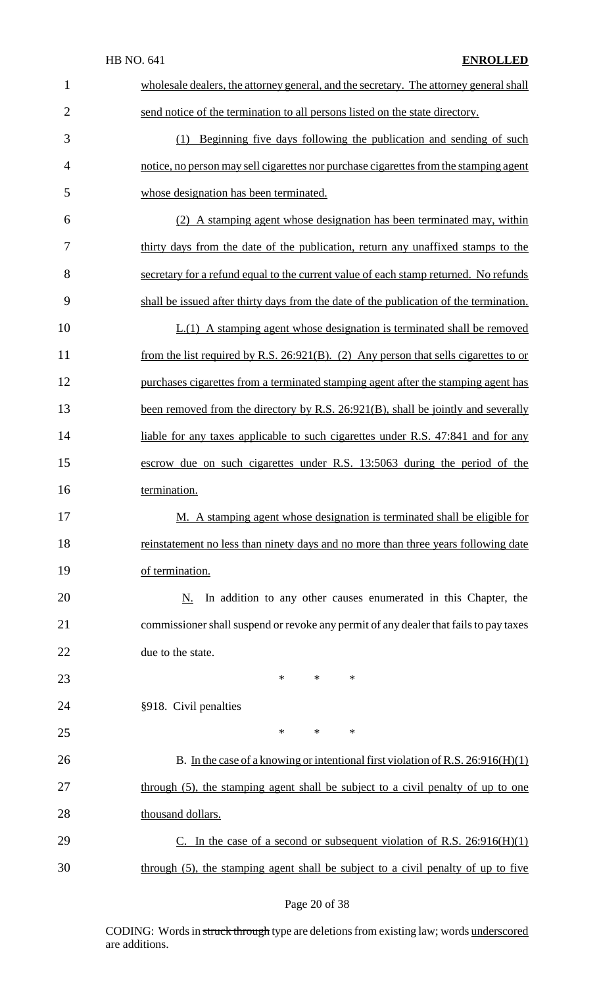| $\mathbf{1}$   | wholesale dealers, the attorney general, and the secretary. The attorney general shall  |
|----------------|-----------------------------------------------------------------------------------------|
| $\overline{2}$ | send notice of the termination to all persons listed on the state directory.            |
| 3              | (1) Beginning five days following the publication and sending of such                   |
| $\overline{4}$ | notice, no person may sell cigarettes nor purchase cigarettes from the stamping agent   |
| 5              | whose designation has been terminated.                                                  |
| 6              | (2) A stamping agent whose designation has been terminated may, within                  |
| 7              | thirty days from the date of the publication, return any unaffixed stamps to the        |
| 8              | secretary for a refund equal to the current value of each stamp returned. No refunds    |
| 9              | shall be issued after thirty days from the date of the publication of the termination.  |
| 10             | $L(1)$ A stamping agent whose designation is terminated shall be removed                |
| 11             | from the list required by R.S. $26:921(B)$ . (2) Any person that sells cigarettes to or |
| 12             | purchases cigarettes from a terminated stamping agent after the stamping agent has      |
| 13             | been removed from the directory by R.S. 26:921(B), shall be jointly and severally       |
| 14             | liable for any taxes applicable to such cigarettes under R.S. 47:841 and for any        |
| 15             | escrow due on such cigarettes under R.S. 13:5063 during the period of the               |
| 16             | termination.                                                                            |
| 17             | M. A stamping agent whose designation is terminated shall be eligible for               |
| 18             | reinstatement no less than ninety days and no more than three years following date      |
| 19             | of termination.                                                                         |
| 20             | In addition to any other causes enumerated in this Chapter, the<br>N.                   |
| 21             | commissioner shall suspend or revoke any permit of any dealer that fails to pay taxes   |
| 22             | due to the state.                                                                       |
| 23             | $\ast$<br>∗<br>*                                                                        |
| 24             | §918. Civil penalties                                                                   |
| 25             | *<br>$\ast$<br>∗                                                                        |
| 26             | B. In the case of a knowing or intentional first violation of R.S. $26:916(H)(1)$       |
| 27             | through (5), the stamping agent shall be subject to a civil penalty of up to one        |
| 28             | thousand dollars.                                                                       |
| 29             | C. In the case of a second or subsequent violation of R.S. $26:916(H)(1)$               |
| 30             | through (5), the stamping agent shall be subject to a civil penalty of up to five       |

Page 20 of 38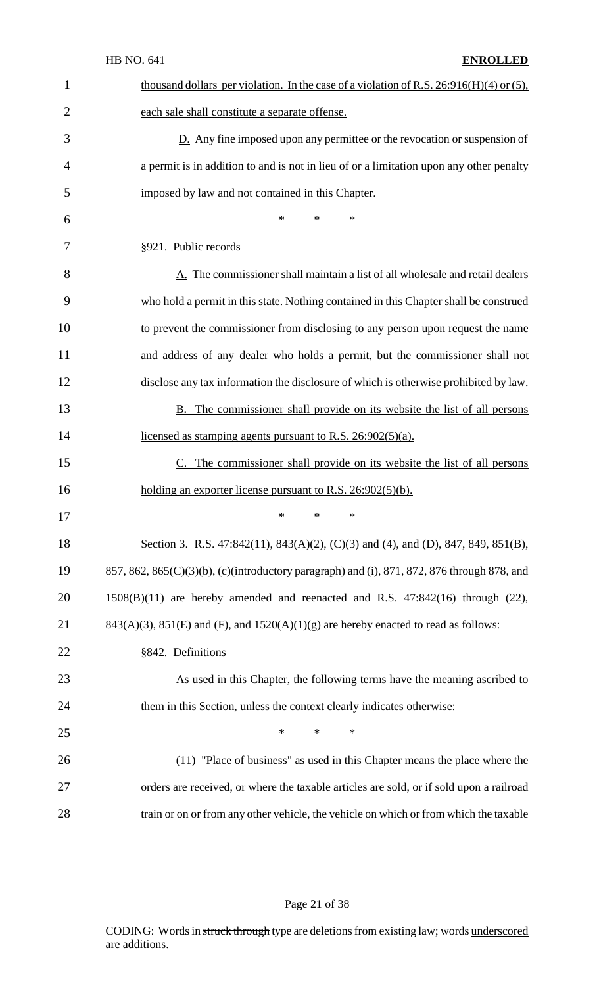|                | <b>HB NO. 641</b><br><b>ENROLLED</b>                                                          |
|----------------|-----------------------------------------------------------------------------------------------|
| $\mathbf{1}$   | thousand dollars per violation. In the case of a violation of R.S. $26:916(H)(4)$ or (5),     |
| $\overline{2}$ | each sale shall constitute a separate offense.                                                |
| 3              | $D$ . Any fine imposed upon any permittee or the revocation or suspension of                  |
| 4              | a permit is in addition to and is not in lieu of or a limitation upon any other penalty       |
| 5              | imposed by law and not contained in this Chapter.                                             |
| 6              | $\ast$<br>$\ast$<br>$\ast$                                                                    |
| 7              | §921. Public records                                                                          |
| 8              | A. The commissioner shall maintain a list of all wholesale and retail dealers                 |
| 9              | who hold a permit in this state. Nothing contained in this Chapter shall be construed         |
| 10             | to prevent the commissioner from disclosing to any person upon request the name               |
| 11             | and address of any dealer who holds a permit, but the commissioner shall not                  |
| 12             | disclose any tax information the disclosure of which is otherwise prohibited by law.          |
| 13             | <b>B.</b> The commissioner shall provide on its website the list of all persons               |
| 14             | licensed as stamping agents pursuant to R.S. 26:902(5)(a).                                    |
| 15             | C. The commissioner shall provide on its website the list of all persons                      |
| 16             | holding an exporter license pursuant to R.S. $26:902(5)(b)$ .                                 |
| 17             | $\ast$<br>∗<br>∗                                                                              |
| 18             | Section 3. R.S. 47:842(11), 843(A)(2), (C)(3) and (4), and (D), 847, 849, 851(B),             |
| 19             | 857, 862, 865(C)(3)(b), (c)(introductory paragraph) and (i), 871, 872, 876 through 878, and   |
| 20             | $1508(B)(11)$ are hereby amended and reenacted and R.S. $47:842(16)$ through $(22)$ ,         |
| 21             | $843(A)(3)$ , $851(E)$ and $(F)$ , and $1520(A)(1)(g)$ are hereby enacted to read as follows: |
| 22             | §842. Definitions                                                                             |
| 23             | As used in this Chapter, the following terms have the meaning ascribed to                     |
| 24             | them in this Section, unless the context clearly indicates otherwise:                         |
| 25             | $\ast$<br>$\ast$<br>∗                                                                         |
| 26             | (11) "Place of business" as used in this Chapter means the place where the                    |
| 27             | orders are received, or where the taxable articles are sold, or if sold upon a railroad       |
| 28             | train or on or from any other vehicle, the vehicle on which or from which the taxable         |

# Page 21 of 38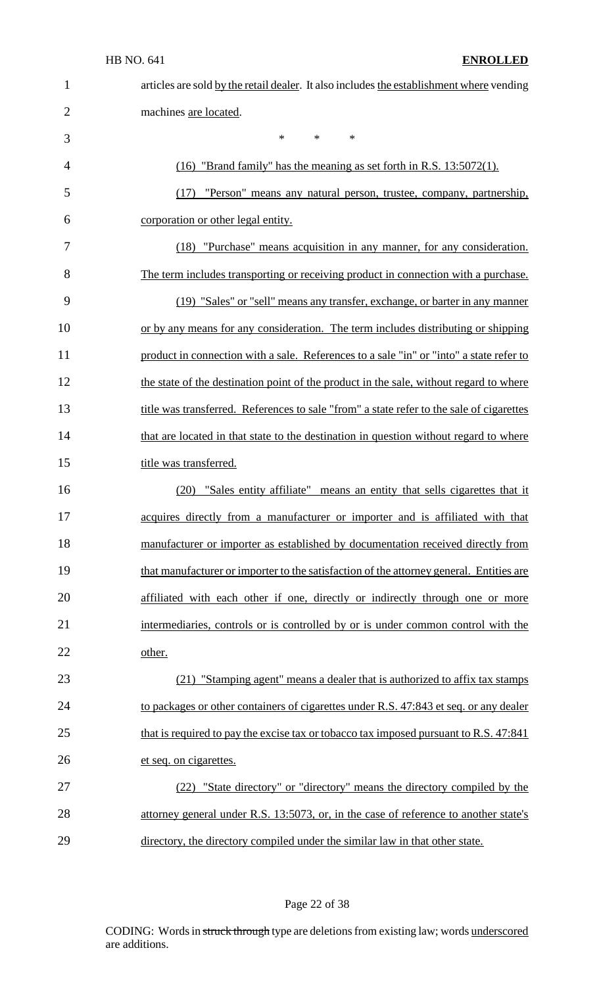| $\mathbf 1$    | articles are sold by the retail dealer. It also includes the establishment where vending |
|----------------|------------------------------------------------------------------------------------------|
| $\overline{2}$ | machines are located.                                                                    |
| 3              | $\ast$<br>$\ast$<br>∗                                                                    |
| 4              | $(16)$ "Brand family" has the meaning as set forth in R.S. $13:5072(1)$ .                |
| 5              | "Person" means any natural person, trustee, company, partnership,<br>(17)                |
| 6              | corporation or other legal entity.                                                       |
| 7              | (18) "Purchase" means acquisition in any manner, for any consideration.                  |
| 8              | The term includes transporting or receiving product in connection with a purchase.       |
| 9              | (19) "Sales" or "sell" means any transfer, exchange, or barter in any manner             |
| 10             | or by any means for any consideration. The term includes distributing or shipping        |
| 11             | product in connection with a sale. References to a sale "in" or "into" a state refer to  |
| 12             | the state of the destination point of the product in the sale, without regard to where   |
| 13             | title was transferred. References to sale "from" a state refer to the sale of cigarettes |
| 14             | that are located in that state to the destination in question without regard to where    |
| 15             | title was transferred.                                                                   |
| 16             | (20)<br>"Sales entity affiliate" means an entity that sells cigarettes that it           |
| 17             | acquires directly from a manufacturer or importer and is affiliated with that            |
| 18             | manufacturer or importer as established by documentation received directly from          |
| 19             | that manufacturer or importer to the satisfaction of the attorney general. Entities are  |
| 20             | affiliated with each other if one, directly or indirectly through one or more            |
| 21             | intermediaries, controls or is controlled by or is under common control with the         |
| 22             | other.                                                                                   |
| 23             | (21) "Stamping agent" means a dealer that is authorized to affix tax stamps              |
| 24             | to packages or other containers of cigarettes under R.S. 47:843 et seq. or any dealer    |
| 25             | that is required to pay the excise tax or tobacco tax imposed pursuant to R.S. 47:841    |
| 26             | et seq. on cigarettes.                                                                   |
| 27             | (22) "State directory" or "directory" means the directory compiled by the                |
| 28             | attorney general under R.S. 13:5073, or, in the case of reference to another state's     |
| 29             | directory, the directory compiled under the similar law in that other state.             |

# Page 22 of 38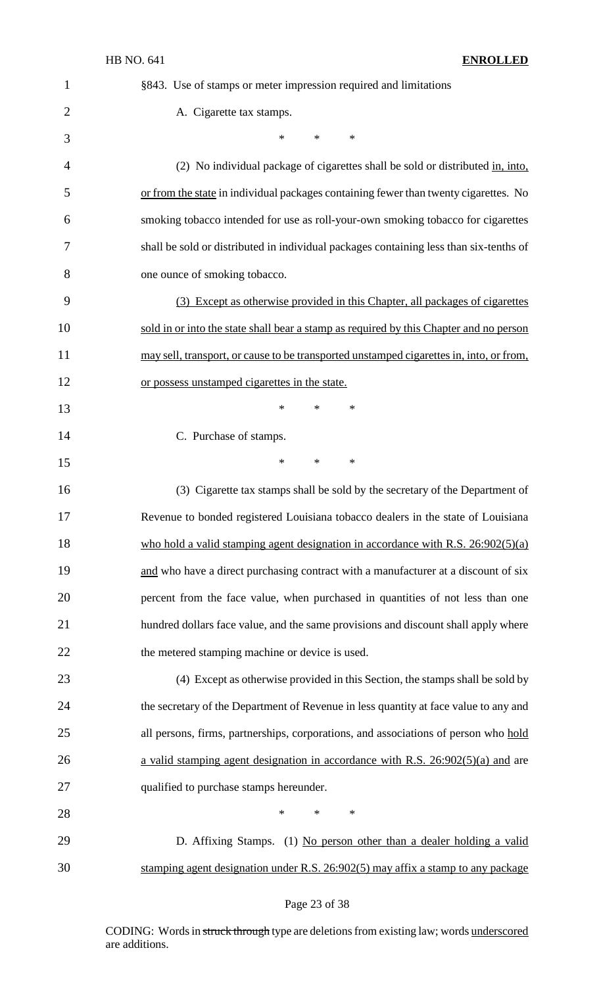| $\mathbf{1}$   | §843. Use of stamps or meter impression required and limitations                        |
|----------------|-----------------------------------------------------------------------------------------|
| $\overline{2}$ | A. Cigarette tax stamps.                                                                |
| 3              | *<br>$\ast$<br>∗                                                                        |
| 4              | (2) No individual package of cigarettes shall be sold or distributed in, into,          |
| 5              | or from the state in individual packages containing fewer than twenty cigarettes. No    |
| 6              | smoking tobacco intended for use as roll-your-own smoking tobacco for cigarettes        |
| 7              | shall be sold or distributed in individual packages containing less than six-tenths of  |
| 8              | one ounce of smoking tobacco.                                                           |
| 9              | (3) Except as otherwise provided in this Chapter, all packages of cigarettes            |
| 10             | sold in or into the state shall bear a stamp as required by this Chapter and no person  |
| 11             | may sell, transport, or cause to be transported unstamped cigarettes in, into, or from, |
| 12             | or possess unstamped cigarettes in the state.                                           |
| 13             | *<br>*<br>$\ast$                                                                        |
| 14             | C. Purchase of stamps.                                                                  |
| 15             | $\ast$<br>$\ast$<br>∗                                                                   |
| 16             | (3) Cigarette tax stamps shall be sold by the secretary of the Department of            |
| 17             | Revenue to bonded registered Louisiana tobacco dealers in the state of Louisiana        |
| 18             | who hold a valid stamping agent designation in accordance with R.S. $26:902(5)(a)$      |
| 19             | and who have a direct purchasing contract with a manufacturer at a discount of six      |
| 20             | percent from the face value, when purchased in quantities of not less than one          |
| 21             | hundred dollars face value, and the same provisions and discount shall apply where      |
| 22             | the metered stamping machine or device is used.                                         |
| 23             | (4) Except as otherwise provided in this Section, the stamps shall be sold by           |
| 24             | the secretary of the Department of Revenue in less quantity at face value to any and    |
| 25             | all persons, firms, partnerships, corporations, and associations of person who hold     |
| 26             | a valid stamping agent designation in accordance with R.S. $26:902(5)(a)$ and are       |
| 27             | qualified to purchase stamps hereunder.                                                 |
| 28             | *<br>*<br>∗                                                                             |
| 29             | D. Affixing Stamps. (1) No person other than a dealer holding a valid                   |
| 30             | stamping agent designation under R.S. 26:902(5) may affix a stamp to any package        |

# Page 23 of 38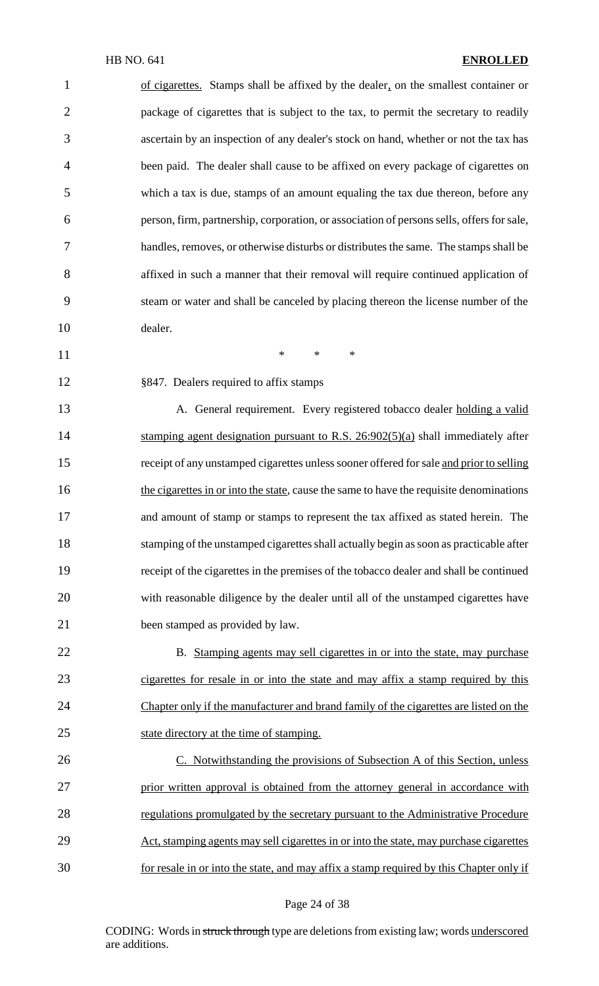of cigarettes. Stamps shall be affixed by the dealer, on the smallest container or 2 package of cigarettes that is subject to the tax, to permit the secretary to readily ascertain by an inspection of any dealer's stock on hand, whether or not the tax has been paid. The dealer shall cause to be affixed on every package of cigarettes on which a tax is due, stamps of an amount equaling the tax due thereon, before any 6 person, firm, partnership, corporation, or association of persons sells, offers for sale, handles, removes, or otherwise disturbs or distributes the same. The stamps shall be affixed in such a manner that their removal will require continued application of steam or water and shall be canceled by placing thereon the license number of the dealer.  $*$  \* \* \*

§847. Dealers required to affix stamps

13 A. General requirement. Every registered tobacco dealer holding a valid 14 stamping agent designation pursuant to R.S. 26:902(5)(a) shall immediately after 15 receipt of any unstamped cigarettes unless sooner offered for sale and prior to selling the cigarettes in or into the state, cause the same to have the requisite denominations and amount of stamp or stamps to represent the tax affixed as stated herein. The 18 stamping of the unstamped cigarettes shall actually begin as soon as practicable after receipt of the cigarettes in the premises of the tobacco dealer and shall be continued with reasonable diligence by the dealer until all of the unstamped cigarettes have been stamped as provided by law.

22 B. Stamping agents may sell cigarettes in or into the state, may purchase cigarettes for resale in or into the state and may affix a stamp required by this 24 Chapter only if the manufacturer and brand family of the cigarettes are listed on the 25 state directory at the time of stamping.

 C. Notwithstanding the provisions of Subsection A of this Section, unless prior written approval is obtained from the attorney general in accordance with regulations promulgated by the secretary pursuant to the Administrative Procedure Act, stamping agents may sell cigarettes in or into the state, may purchase cigarettes for resale in or into the state, and may affix a stamp required by this Chapter only if

#### Page 24 of 38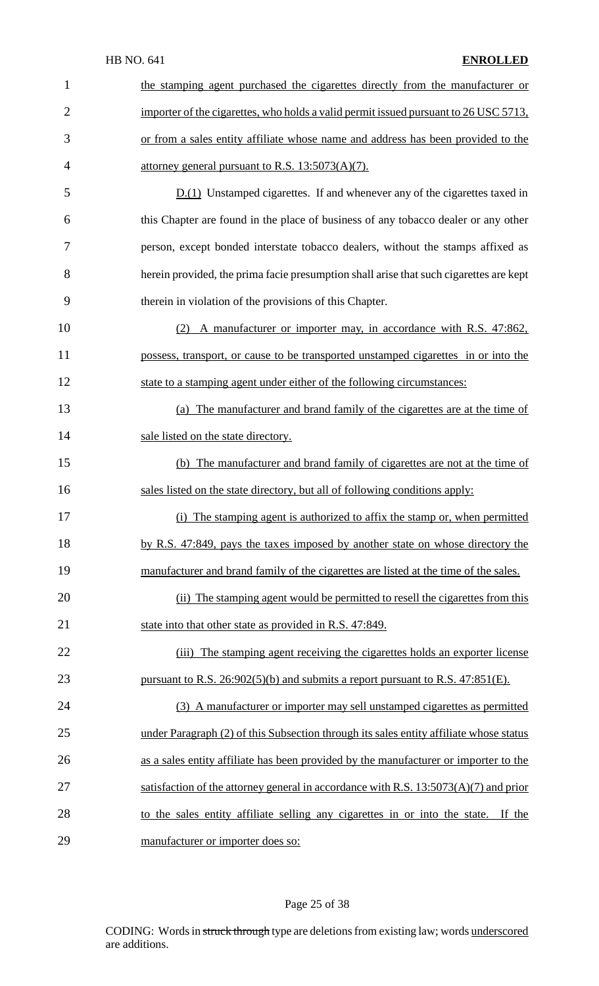| 1              | the stamping agent purchased the cigarettes directly from the manufacturer or          |
|----------------|----------------------------------------------------------------------------------------|
| $\overline{2}$ | importer of the cigarettes, who holds a valid permit issued pursuant to 26 USC 5713,   |
| 3              | or from a sales entity affiliate whose name and address has been provided to the       |
| 4              | attorney general pursuant to R.S. $13:5073(A)(7)$ .                                    |
| 5              | $D(1)$ Unstamped cigarettes. If and whenever any of the cigarettes taxed in            |
| 6              | this Chapter are found in the place of business of any tobacco dealer or any other     |
| 7              | person, except bonded interstate tobacco dealers, without the stamps affixed as        |
| 8              | herein provided, the prima facie presumption shall arise that such cigarettes are kept |
| 9              | therein in violation of the provisions of this Chapter.                                |
| 10             | (2) A manufacturer or importer may, in accordance with R.S. 47:862,                    |
| 11             | possess, transport, or cause to be transported unstamped cigarettes in or into the     |
| 12             | state to a stamping agent under either of the following circumstances:                 |
| 13             | (a) The manufacturer and brand family of the cigarettes are at the time of             |
| 14             | sale listed on the state directory.                                                    |
| 15             | (b) The manufacturer and brand family of cigarettes are not at the time of             |
| 16             | sales listed on the state directory, but all of following conditions apply:            |
| 17             | (i) The stamping agent is authorized to affix the stamp or, when permitted             |
| 18             | by R.S. 47:849, pays the taxes imposed by another state on whose directory the         |
| 19             | manufacturer and brand family of the cigarettes are listed at the time of the sales.   |
| 20             | (ii) The stamping agent would be permitted to resell the cigarettes from this          |
| 21             | state into that other state as provided in R.S. 47:849.                                |
| 22             | (iii) The stamping agent receiving the cigarettes holds an exporter license            |
| 23             | pursuant to R.S. $26:902(5)(b)$ and submits a report pursuant to R.S. $47:851(E)$ .    |
| 24             | (3) A manufacturer or importer may sell unstamped cigarettes as permitted              |
| 25             | under Paragraph (2) of this Subsection through its sales entity affiliate whose status |
| 26             | as a sales entity affiliate has been provided by the manufacturer or importer to the   |
| 27             | satisfaction of the attorney general in accordance with R.S. $13:5073(A)(7)$ and prior |
| 28             | to the sales entity affiliate selling any cigarettes in or into the state. If the      |
| 29             | manufacturer or importer does so:                                                      |

# Page 25 of 38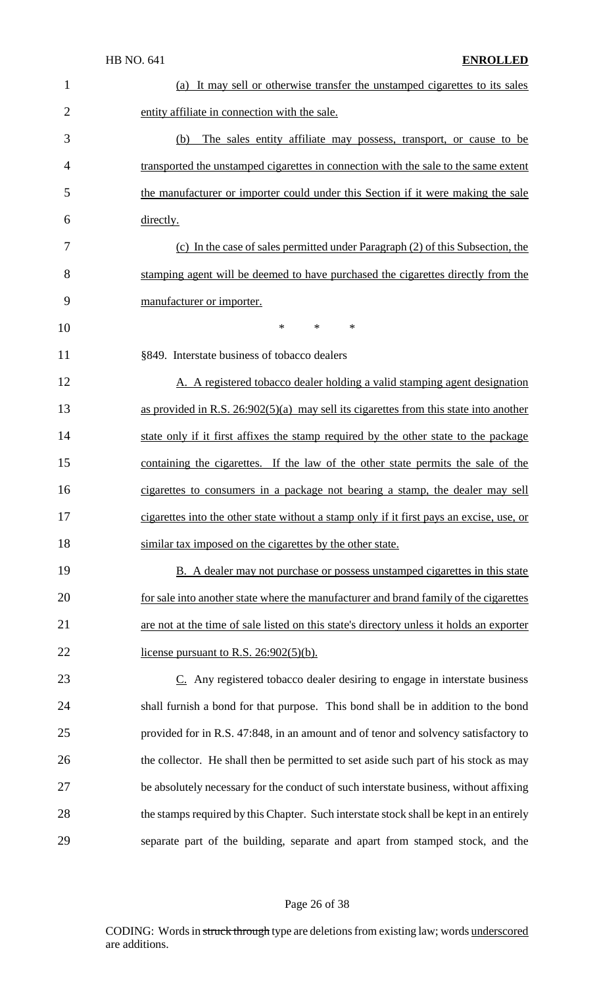| $\mathbf{1}$   | (a) It may sell or otherwise transfer the unstamped cigarettes to its sales              |
|----------------|------------------------------------------------------------------------------------------|
| $\overline{2}$ | entity affiliate in connection with the sale.                                            |
| 3              | The sales entity affiliate may possess, transport, or cause to be<br>(b)                 |
| $\overline{4}$ | transported the unstamped cigarettes in connection with the sale to the same extent      |
| 5              | the manufacturer or importer could under this Section if it were making the sale         |
| 6              | directly.                                                                                |
| 7              | (c) In the case of sales permitted under Paragraph (2) of this Subsection, the           |
| 8              | stamping agent will be deemed to have purchased the cigarettes directly from the         |
| 9              | manufacturer or importer.                                                                |
| 10             | $\ast$<br>*<br>*                                                                         |
| 11             | §849. Interstate business of tobacco dealers                                             |
| 12             | A. A registered tobacco dealer holding a valid stamping agent designation                |
| 13             | as provided in R.S. $26:902(5)(a)$ may sell its cigarettes from this state into another  |
| 14             | state only if it first affixes the stamp required by the other state to the package      |
| 15             | containing the cigarettes. If the law of the other state permits the sale of the         |
| 16             | cigarettes to consumers in a package not bearing a stamp, the dealer may sell            |
| 17             | cigarettes into the other state without a stamp only if it first pays an excise, use, or |
| 18             | similar tax imposed on the cigarettes by the other state.                                |
| 19             | B. A dealer may not purchase or possess unstamped cigarettes in this state               |
| 20             | for sale into another state where the manufacturer and brand family of the cigarettes    |
| 21             | are not at the time of sale listed on this state's directory unless it holds an exporter |
| 22             | license pursuant to R.S. $26:902(5)(b)$ .                                                |
| 23             | $Cz$ . Any registered tobacco dealer desiring to engage in interstate business           |
| 24             | shall furnish a bond for that purpose. This bond shall be in addition to the bond        |
| 25             | provided for in R.S. 47:848, in an amount and of tenor and solvency satisfactory to      |
| 26             | the collector. He shall then be permitted to set aside such part of his stock as may     |
| 27             | be absolutely necessary for the conduct of such interstate business, without affixing    |
| 28             | the stamps required by this Chapter. Such interstate stock shall be kept in an entirely  |
| 29             | separate part of the building, separate and apart from stamped stock, and the            |

# Page 26 of 38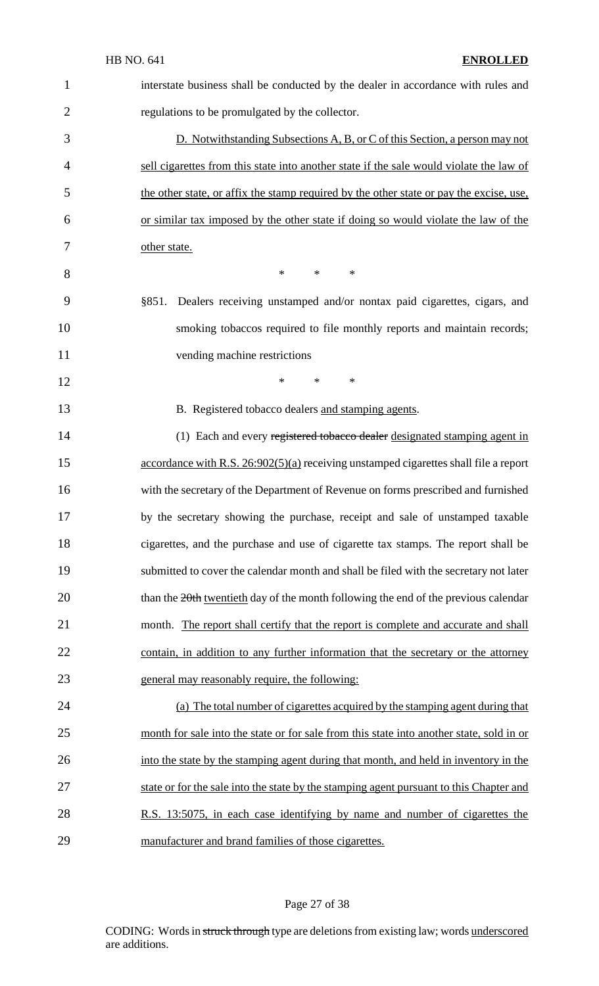| 1              | interstate business shall be conducted by the dealer in accordance with rules and        |
|----------------|------------------------------------------------------------------------------------------|
| $\overline{2}$ | regulations to be promulgated by the collector.                                          |
| 3              | D. Notwithstanding Subsections A, B, or C of this Section, a person may not              |
| 4              | sell cigarettes from this state into another state if the sale would violate the law of  |
| 5              | the other state, or affix the stamp required by the other state or pay the excise, use,  |
| 6              | or similar tax imposed by the other state if doing so would violate the law of the       |
| 7              | other state.                                                                             |
| 8              | $\ast$<br>*<br>∗                                                                         |
| 9              | Dealers receiving unstamped and/or nontax paid cigarettes, cigars, and<br>§851.          |
| 10             | smoking tobaccos required to file monthly reports and maintain records;                  |
| 11             | vending machine restrictions                                                             |
| 12             | $\ast$<br>$\ast$<br>∗                                                                    |
| 13             | B. Registered tobacco dealers and stamping agents.                                       |
| 14             | (1) Each and every registered to bacco dealer designated stamping agent in               |
| 15             | accordance with R.S. 26:902(5)(a) receiving unstamped cigarettes shall file a report     |
| 16             | with the secretary of the Department of Revenue on forms prescribed and furnished        |
| 17             | by the secretary showing the purchase, receipt and sale of unstamped taxable             |
| 18             | cigarettes, and the purchase and use of cigarette tax stamps. The report shall be        |
| 19             | submitted to cover the calendar month and shall be filed with the secretary not later    |
| 20             | than the 20th twentieth day of the month following the end of the previous calendar      |
| 21             | month. The report shall certify that the report is complete and accurate and shall       |
| 22             | contain, in addition to any further information that the secretary or the attorney       |
| 23             | general may reasonably require, the following:                                           |
| 24             | (a) The total number of cigarettes acquired by the stamping agent during that            |
| 25             | month for sale into the state or for sale from this state into another state, sold in or |
| 26             | into the state by the stamping agent during that month, and held in inventory in the     |
| 27             | state or for the sale into the state by the stamping agent pursuant to this Chapter and  |
| 28             | R.S. 13:5075, in each case identifying by name and number of cigarettes the              |
| 29             | manufacturer and brand families of those cigarettes.                                     |

# Page 27 of 38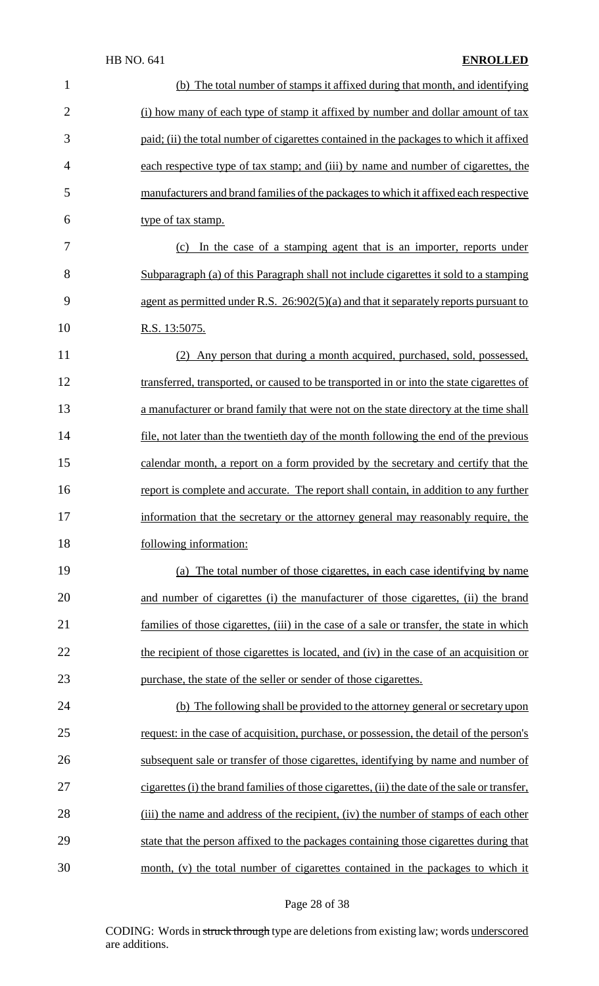| $\mathbf{1}$   | (b) The total number of stamps it affixed during that month, and identifying                  |
|----------------|-----------------------------------------------------------------------------------------------|
| $\overline{2}$ | (i) how many of each type of stamp it affixed by number and dollar amount of tax              |
| 3              | paid; (ii) the total number of cigarettes contained in the packages to which it affixed       |
| $\overline{4}$ | each respective type of tax stamp; and (iii) by name and number of cigarettes, the            |
| 5              | manufacturers and brand families of the packages to which it affixed each respective          |
| 6              | type of tax stamp.                                                                            |
| 7              | In the case of a stamping agent that is an importer, reports under<br>(c)                     |
| 8              | Subparagraph (a) of this Paragraph shall not include cigarettes it sold to a stamping         |
| 9              | agent as permitted under R.S. $26:902(5)(a)$ and that it separately reports pursuant to       |
| 10             | R.S. 13:5075.                                                                                 |
| 11             | Any person that during a month acquired, purchased, sold, possessed,                          |
| 12             | transferred, transported, or caused to be transported in or into the state cigarettes of      |
| 13             | a manufacturer or brand family that were not on the state directory at the time shall         |
| 14             | file, not later than the twentieth day of the month following the end of the previous         |
| 15             | calendar month, a report on a form provided by the secretary and certify that the             |
| 16             | report is complete and accurate. The report shall contain, in addition to any further         |
| 17             | information that the secretary or the attorney general may reasonably require, the            |
| 18             | following information:                                                                        |
| 19             | (a) The total number of those cigarettes, in each case identifying by name                    |
| 20             | and number of cigarettes (i) the manufacturer of those cigarettes, (ii) the brand             |
| 21             | families of those cigarettes, (iii) in the case of a sale or transfer, the state in which     |
| 22             | the recipient of those cigarettes is located, and (iv) in the case of an acquisition or       |
| 23             | purchase, the state of the seller or sender of those cigarettes.                              |
| 24             | (b) The following shall be provided to the attorney general or secretary upon                 |
| 25             | request: in the case of acquisition, purchase, or possession, the detail of the person's      |
| 26             | subsequent sale or transfer of those cigarettes, identifying by name and number of            |
| 27             | cigarettes (i) the brand families of those cigarettes, (ii) the date of the sale or transfer, |
| 28             | (iii) the name and address of the recipient, (iv) the number of stamps of each other          |
| 29             | state that the person affixed to the packages containing those cigarettes during that         |
| 30             | month, (v) the total number of cigarettes contained in the packages to which it               |

# Page 28 of 38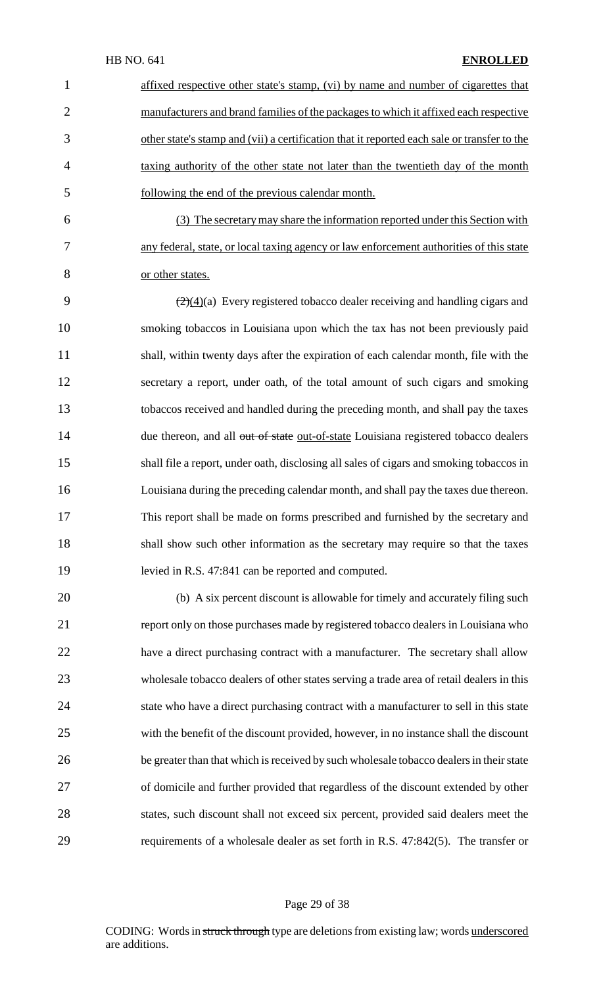|   | affixed respective other state's stamp, (vi) by name and number of cigarettes that          |
|---|---------------------------------------------------------------------------------------------|
| 2 | manufacturers and brand families of the packages to which it affixed each respective        |
| 3 | other state's stamp and (vii) a certification that it reported each sale or transfer to the |
| 4 | taxing authority of the other state not later than the twentieth day of the month           |
| 5 | following the end of the previous calendar month.                                           |
|   |                                                                                             |

 (3) The secretary may share the information reported under this Section with any federal, state, or local taxing agency or law enforcement authorities of this state or other states.

 $\left(\frac{2}{(4)}\right)$  Every registered tobacco dealer receiving and handling cigars and smoking tobaccos in Louisiana upon which the tax has not been previously paid shall, within twenty days after the expiration of each calendar month, file with the secretary a report, under oath, of the total amount of such cigars and smoking tobaccos received and handled during the preceding month, and shall pay the taxes 14 due thereon, and all out of state out-of-state Louisiana registered tobacco dealers shall file a report, under oath, disclosing all sales of cigars and smoking tobaccos in Louisiana during the preceding calendar month, and shall pay the taxes due thereon. This report shall be made on forms prescribed and furnished by the secretary and shall show such other information as the secretary may require so that the taxes levied in R.S. 47:841 can be reported and computed.

 (b) A six percent discount is allowable for timely and accurately filing such report only on those purchases made by registered tobacco dealers in Louisiana who have a direct purchasing contract with a manufacturer. The secretary shall allow wholesale tobacco dealers of other states serving a trade area of retail dealers in this state who have a direct purchasing contract with a manufacturer to sell in this state with the benefit of the discount provided, however, in no instance shall the discount 26 be greater than that which is received by such wholesale tobacco dealers in their state of domicile and further provided that regardless of the discount extended by other states, such discount shall not exceed six percent, provided said dealers meet the requirements of a wholesale dealer as set forth in R.S. 47:842(5). The transfer or

#### Page 29 of 38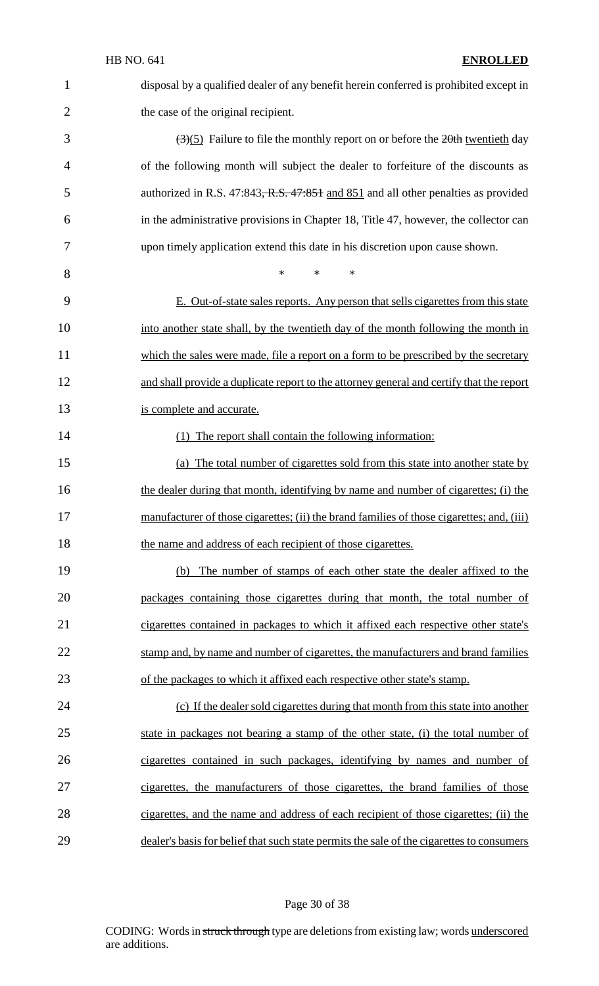| 1              | disposal by a qualified dealer of any benefit herein conferred is prohibited except in            |
|----------------|---------------------------------------------------------------------------------------------------|
| $\overline{2}$ | the case of the original recipient.                                                               |
| 3              | $\left(\frac{3}{5}\right)$ Failure to file the monthly report on or before the 20th twentieth day |
| 4              | of the following month will subject the dealer to forfeiture of the discounts as                  |
| 5              | authorized in R.S. 47:843, R.S. 47:851 and 851 and all other penalties as provided                |
| 6              | in the administrative provisions in Chapter 18, Title 47, however, the collector can              |
| 7              | upon timely application extend this date in his discretion upon cause shown.                      |
| 8              | $\ast$<br>$\ast$<br>$\ast$                                                                        |
| 9              | E. Out-of-state sales reports. Any person that sells cigarettes from this state                   |
| 10             | into another state shall, by the twentieth day of the month following the month in                |
| 11             | which the sales were made, file a report on a form to be prescribed by the secretary              |
| 12             | and shall provide a duplicate report to the attorney general and certify that the report          |
| 13             | is complete and accurate.                                                                         |
| 14             | The report shall contain the following information:<br>(1)                                        |
| 15             | (a) The total number of cigarettes sold from this state into another state by                     |
| 16             | the dealer during that month, identifying by name and number of cigarettes; (i) the               |
| 17             | manufacturer of those cigarettes; (ii) the brand families of those cigarettes; and, (iii)         |
| 18             | the name and address of each recipient of those cigarettes.                                       |
| 19             | The number of stamps of each other state the dealer affixed to the<br>(b)                         |
| 20             | packages containing those cigarettes during that month, the total number of                       |
| 21             | cigarettes contained in packages to which it affixed each respective other state's                |
| 22             | stamp and, by name and number of cigarettes, the manufacturers and brand families                 |
| 23             | of the packages to which it affixed each respective other state's stamp.                          |
| 24             | (c) If the dealer sold cigarettes during that month from this state into another                  |
| 25             | state in packages not bearing a stamp of the other state, (i) the total number of                 |
| 26             | cigarettes contained in such packages, identifying by names and number of                         |
| 27             | cigarettes, the manufacturers of those cigarettes, the brand families of those                    |
| 28             | cigarettes, and the name and address of each recipient of those cigarettes; (ii) the              |
| 29             | dealer's basis for belief that such state permits the sale of the cigarettes to consumers         |

# Page 30 of 38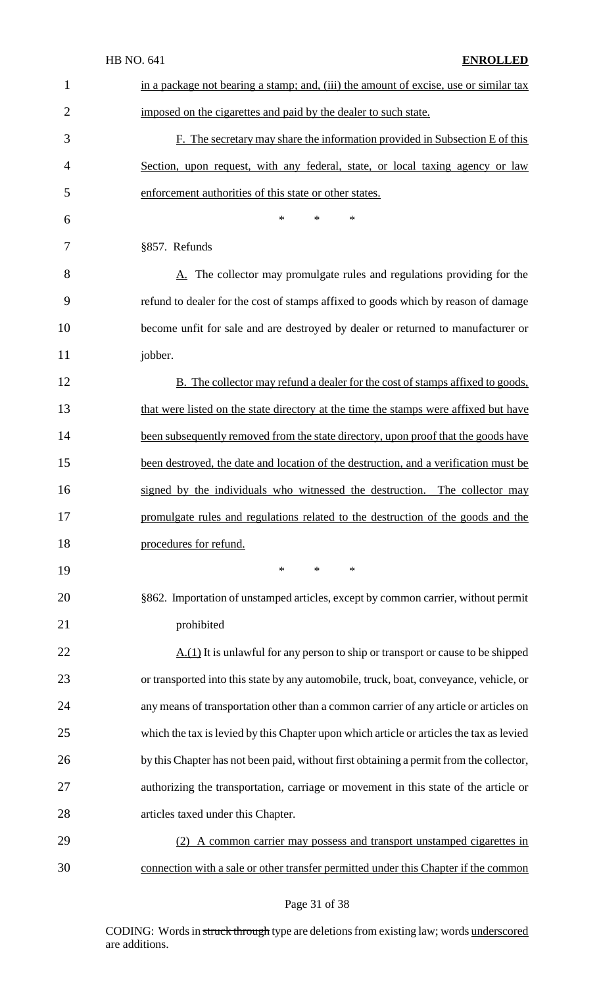|                | <b>HB NO. 641</b><br><b>ENROLLED</b>                                                          |
|----------------|-----------------------------------------------------------------------------------------------|
| $\mathbf{1}$   | in a package not bearing a stamp; and, (iii) the amount of excise, use or similar tax         |
| $\overline{2}$ | imposed on the cigarettes and paid by the dealer to such state.                               |
| 3              | F. The secretary may share the information provided in Subsection E of this                   |
| $\overline{4}$ | Section, upon request, with any federal, state, or local taxing agency or law                 |
| 5              | enforcement authorities of this state or other states.                                        |
| 6              | $\ast$<br>$\ast$<br>∗                                                                         |
| 7              | §857. Refunds                                                                                 |
| 8              | A. The collector may promulgate rules and regulations providing for the                       |
| 9              | refund to dealer for the cost of stamps affixed to goods which by reason of damage            |
| 10             | become unfit for sale and are destroyed by dealer or returned to manufacturer or              |
| 11             | jobber.                                                                                       |
| 12             | B. The collector may refund a dealer for the cost of stamps affixed to goods,                 |
| 13             | that were listed on the state directory at the time the stamps were affixed but have          |
| 14             | been subsequently removed from the state directory, upon proof that the goods have            |
| 15             | been destroyed, the date and location of the destruction, and a verification must be          |
| 16             | signed by the individuals who witnessed the destruction. The collector may                    |
| 17             | promulgate rules and regulations related to the destruction of the goods and the              |
| 18             | procedures for refund.                                                                        |
| 19             | $*$<br>$*$<br>$\ast$                                                                          |
| 20             | §862. Importation of unstamped articles, except by common carrier, without permit             |
| 21             | prohibited                                                                                    |
| 22             | $\underline{A.(1)}$ It is unlawful for any person to ship or transport or cause to be shipped |
| 23             | or transported into this state by any automobile, truck, boat, conveyance, vehicle, or        |
| 24             | any means of transportation other than a common carrier of any article or articles on         |
| 25             | which the tax is levied by this Chapter upon which article or articles the tax as levied      |
| 26             | by this Chapter has not been paid, without first obtaining a permit from the collector,       |
| 27             | authorizing the transportation, carriage or movement in this state of the article or          |
| 28             | articles taxed under this Chapter.                                                            |
| 29             | (2) A common carrier may possess and transport unstamped cigarettes in                        |
| 30             | connection with a sale or other transfer permitted under this Chapter if the common           |

Page 31 of 38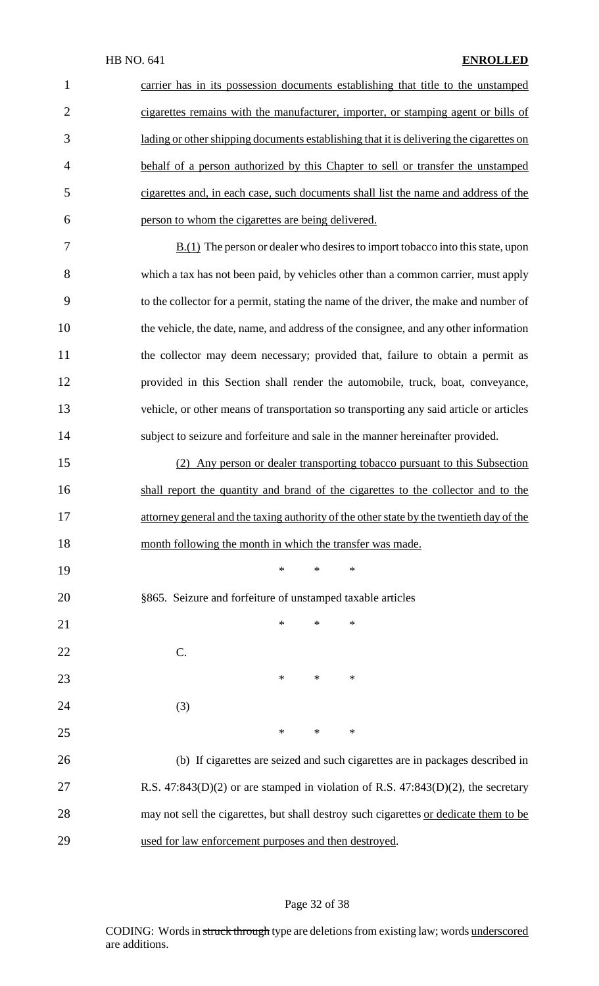| $\mathbf{1}$   | carrier has in its possession documents establishing that title to the unstamped             |
|----------------|----------------------------------------------------------------------------------------------|
| $\overline{2}$ | cigarettes remains with the manufacturer, importer, or stamping agent or bills of            |
| 3              | lading or other shipping documents establishing that it is delivering the cigarettes on      |
| $\overline{4}$ | behalf of a person authorized by this Chapter to sell or transfer the unstamped              |
| 5              | cigarettes and, in each case, such documents shall list the name and address of the          |
| 6              | person to whom the cigarettes are being delivered.                                           |
| 7              | $\underline{B.(1)}$ The person or dealer who desires to import tobacco into this state, upon |
| 8              | which a tax has not been paid, by vehicles other than a common carrier, must apply           |
| 9              | to the collector for a permit, stating the name of the driver, the make and number of        |
| 10             | the vehicle, the date, name, and address of the consignee, and any other information         |
| 11             | the collector may deem necessary; provided that, failure to obtain a permit as               |
| 12             | provided in this Section shall render the automobile, truck, boat, conveyance,               |
| 13             | vehicle, or other means of transportation so transporting any said article or articles       |
| 14             | subject to seizure and forfeiture and sale in the manner hereinafter provided.               |
| 15             | (2) Any person or dealer transporting tobacco pursuant to this Subsection                    |
| 16             | shall report the quantity and brand of the cigarettes to the collector and to the            |
| 17             | attorney general and the taxing authority of the other state by the twentieth day of the     |
| 18             | month following the month in which the transfer was made.                                    |
| 19             | ∗<br>*<br>∗                                                                                  |
| 20             | §865. Seizure and forfeiture of unstamped taxable articles                                   |
| 21             | ∗<br>*<br>∗                                                                                  |
| 22             | C.                                                                                           |
| 23             | $\ast$<br>*<br>∗                                                                             |
| 24             | (3)                                                                                          |
| 25             | $\ast$<br>*<br>∗                                                                             |
| 26             | (b) If cigarettes are seized and such cigarettes are in packages described in                |
| 27             | R.S. $47:843(D)(2)$ or are stamped in violation of R.S. $47:843(D)(2)$ , the secretary       |
| 28             | may not sell the cigarettes, but shall destroy such cigarettes or dedicate them to be        |
| 29             | used for law enforcement purposes and then destroyed.                                        |

# Page 32 of 38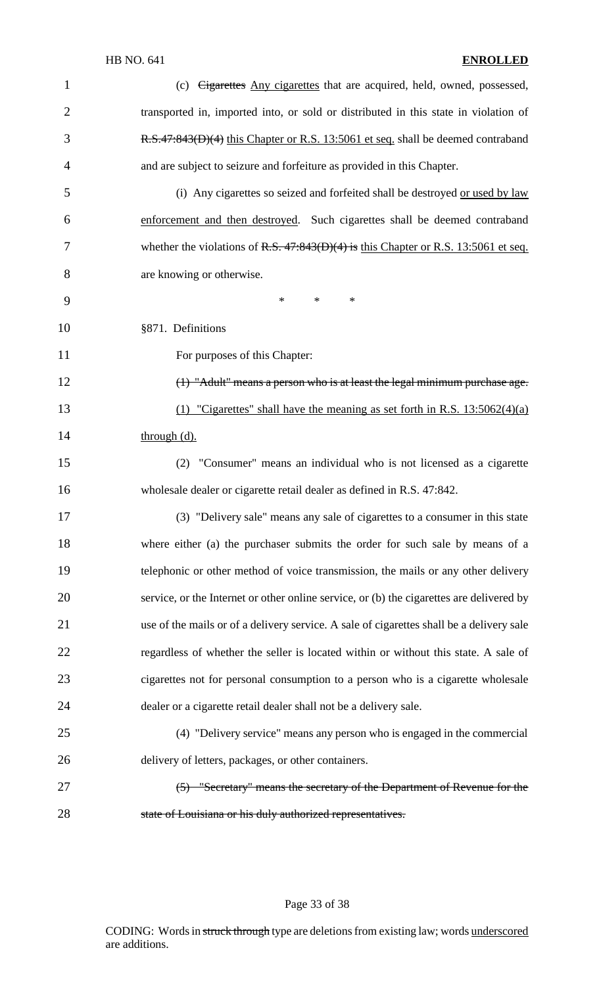| $\mathbf{1}$   | (c) <del>Cigarettes</del> Any cigarettes that are acquired, held, owned, possessed,      |
|----------------|------------------------------------------------------------------------------------------|
| $\mathfrak{2}$ | transported in, imported into, or sold or distributed in this state in violation of      |
| 3              | R.S.47:843(D)(4) this Chapter or R.S. 13:5061 et seq. shall be deemed contraband         |
| 4              | and are subject to seizure and forfeiture as provided in this Chapter.                   |
| 5              | (i) Any cigarettes so seized and forfeited shall be destroyed or used by law             |
| 6              | enforcement and then destroyed. Such cigarettes shall be deemed contraband               |
| 7              | whether the violations of R.S. $47.843(D)(4)$ is this Chapter or R.S. 13:5061 et seq.    |
| 8              | are knowing or otherwise.                                                                |
| 9              | $\ast$<br>$\ast$<br>$\ast$                                                               |
| 10             | §871. Definitions                                                                        |
| 11             | For purposes of this Chapter:                                                            |
| 12             | $(1)$ "Adult" means a person who is at least the legal minimum purchase age.             |
| 13             | (1) "Cigarettes" shall have the meaning as set forth in R.S. $13:5062(4)(a)$             |
| 14             | through (d).                                                                             |
| 15             | (2) "Consumer" means an individual who is not licensed as a cigarette                    |
| 16             | wholesale dealer or cigarette retail dealer as defined in R.S. 47:842.                   |
| 17             | (3) "Delivery sale" means any sale of cigarettes to a consumer in this state             |
| 18             | where either (a) the purchaser submits the order for such sale by means of a             |
| 19             | telephonic or other method of voice transmission, the mails or any other delivery        |
| 20             | service, or the Internet or other online service, or (b) the cigarettes are delivered by |
| 21             | use of the mails or of a delivery service. A sale of cigarettes shall be a delivery sale |
| 22             | regardless of whether the seller is located within or without this state. A sale of      |
| 23             | cigarettes not for personal consumption to a person who is a cigarette wholesale         |
| 24             | dealer or a cigarette retail dealer shall not be a delivery sale.                        |
| 25             | (4) "Delivery service" means any person who is engaged in the commercial                 |
| 26             | delivery of letters, packages, or other containers.                                      |
| 27             | (5) "Secretary" means the secretary of the Department of Revenue for the                 |
| 28             | state of Louisiana or his duly authorized representatives.                               |

Page 33 of 38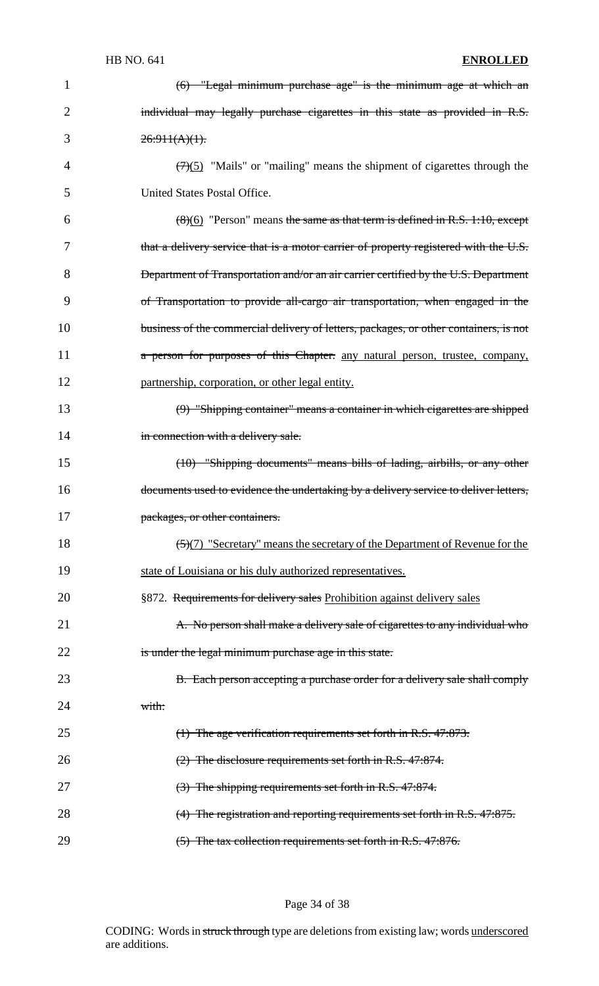| 1              | $(6)$ "Legal minimum purchase age" is the minimum age at which an                            |
|----------------|----------------------------------------------------------------------------------------------|
| 2              | individual may legally purchase cigarettes in this state as provided in R.S.                 |
| 3              | $26:911(A)(1)$ .                                                                             |
| $\overline{4}$ | $\left(\frac{7}{5}\right)$ "Mails" or "mailing" means the shipment of cigarettes through the |
| 5              | United States Postal Office.                                                                 |
| 6              | $(8)(6)$ "Person" means the same as that term is defined in R.S. 1:10, except                |
| 7              | that a delivery service that is a motor carrier of property registered with the U.S.         |
| 8              | <b>Department of Transportation and/or an air carrier certified by the U.S. Department</b>   |
| 9              | of Transportation to provide all-cargo air transportation, when engaged in the               |
| 10             | business of the commercial delivery of letters, packages, or other containers, is not        |
| 11             | a person for purposes of this Chapter. any natural person, trustee, company,                 |
| 12             | partnership, corporation, or other legal entity.                                             |
| 13             | (9) "Shipping container" means a container in which cigarettes are shipped                   |
| 14             | in connection with a delivery sale.                                                          |
| 15             | (10) "Shipping documents" means bills of lading, airbills, or any other                      |
| 16             | documents used to evidence the undertaking by a delivery service to deliver letters,         |
| 17             | packages, or other containers.                                                               |
| 18             | (5)(7) "Secretary" means the secretary of the Department of Revenue for the                  |
| 19             | state of Louisiana or his duly authorized representatives.                                   |
| 20             | §872. Requirements for delivery sales Prohibition against delivery sales                     |
| 21             | A. No person shall make a delivery sale of cigarettes to any individual who                  |
| 22             | is under the legal minimum purchase age in this state.                                       |
| 23             | B. Each person accepting a purchase order for a delivery sale shall comply                   |
| 24             | with:                                                                                        |
| 25             | (1) The age verification requirements set forth in R.S. 47:873.                              |
| 26             | $(2)$ The disclosure requirements set forth in R.S. 47:874.                                  |
| 27             | (3) The shipping requirements set forth in R.S. 47:874.                                      |
| 28             | $(4)$ The registration and reporting requirements set forth in R.S. 47:875.                  |
| 29             | $(5)$ The tax collection requirements set forth in R.S. 47:876.                              |

Page 34 of 38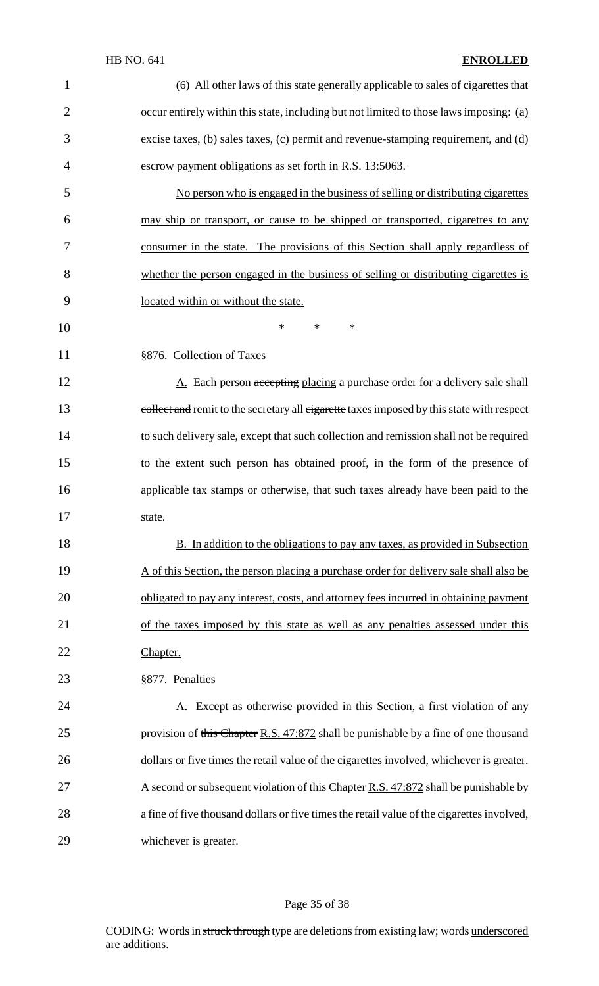| $\mathbf{1}$   | (6) All other laws of this state generally applicable to sales of cigarettes that          |
|----------------|--------------------------------------------------------------------------------------------|
| $\overline{2}$ | occur entirely within this state, including but not limited to those laws imposing: (a)    |
| 3              | excise taxes, (b) sales taxes, (c) permit and revenue-stamping requirement, and (d)        |
| 4              | escrow payment obligations as set forth in R.S. 13:5063.                                   |
| 5              | No person who is engaged in the business of selling or distributing cigarettes             |
| 6              | may ship or transport, or cause to be shipped or transported, cigarettes to any            |
| 7              | consumer in the state. The provisions of this Section shall apply regardless of            |
| 8              | whether the person engaged in the business of selling or distributing cigarettes is        |
| 9              | located within or without the state.                                                       |
| 10             | $\ast$<br>$\ast$<br>*                                                                      |
| 11             | §876. Collection of Taxes                                                                  |
| 12             | A. Each person accepting placing a purchase order for a delivery sale shall                |
| 13             | collect and remit to the secretary all cigarette taxes imposed by this state with respect  |
| 14             | to such delivery sale, except that such collection and remission shall not be required     |
| 15             | to the extent such person has obtained proof, in the form of the presence of               |
| 16             | applicable tax stamps or otherwise, that such taxes already have been paid to the          |
| 17             | state.                                                                                     |
| 18             | B. In addition to the obligations to pay any taxes, as provided in Subsection              |
| 19             | A of this Section, the person placing a purchase order for delivery sale shall also be     |
| 20             | obligated to pay any interest, costs, and attorney fees incurred in obtaining payment      |
| 21             | of the taxes imposed by this state as well as any penalties assessed under this            |
| 22             | Chapter.                                                                                   |
| 23             | §877. Penalties                                                                            |
| 24             | A. Except as otherwise provided in this Section, a first violation of any                  |
| 25             | provision of this Chapter R.S. 47:872 shall be punishable by a fine of one thousand        |
| 26             | dollars or five times the retail value of the cigarettes involved, whichever is greater.   |
| 27             | A second or subsequent violation of this Chapter R.S. 47:872 shall be punishable by        |
| 28             | a fine of five thousand dollars or five times the retail value of the cigarettes involved, |
| 29             | whichever is greater.                                                                      |
|                |                                                                                            |

# Page 35 of 38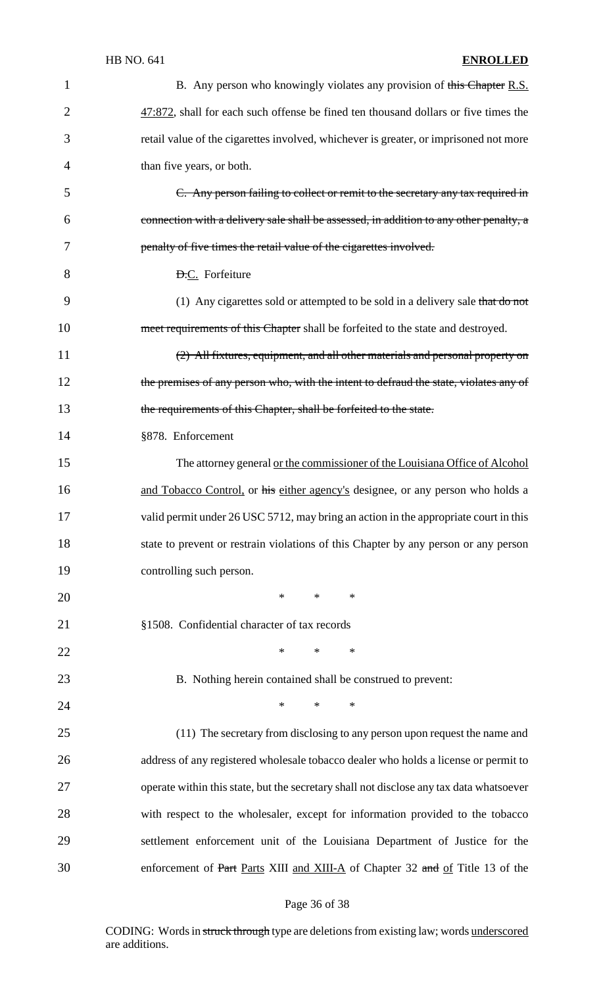| $\mathbf{1}$   | B. Any person who knowingly violates any provision of this Chapter R.S.                 |
|----------------|-----------------------------------------------------------------------------------------|
| $\overline{2}$ | 47:872, shall for each such offense be fined ten thousand dollars or five times the     |
| 3              | retail value of the cigarettes involved, whichever is greater, or imprisoned not more   |
| $\overline{4}$ | than five years, or both.                                                               |
| 5              | C. Any person failing to collect or remit to the secretary any tax required in          |
| 6              | connection with a delivery sale shall be assessed, in addition to any other penalty, a  |
| 7              | penalty of five times the retail value of the cigarettes involved.                      |
| 8              | <b>D.C.</b> Forfeiture                                                                  |
| 9              | (1) Any cigarettes sold or attempted to be sold in a delivery sale that do not          |
| 10             | meet requirements of this Chapter shall be forfeited to the state and destroyed.        |
| 11             | (2) All fixtures, equipment, and all other materials and personal property on           |
| 12             | the premises of any person who, with the intent to defraud the state, violates any of   |
| 13             | the requirements of this Chapter, shall be forfeited to the state.                      |
| 14             | §878. Enforcement                                                                       |
| 15             | The attorney general or the commissioner of the Louisiana Office of Alcohol             |
| 16             | and Tobacco Control, or his either agency's designee, or any person who holds a         |
| 17             | valid permit under 26 USC 5712, may bring an action in the appropriate court in this    |
| 18             | state to prevent or restrain violations of this Chapter by any person or any person     |
| 19             | controlling such person.                                                                |
| 20             | $*$ and $*$<br>$*$ and $*$<br>∗                                                         |
| 21             | §1508. Confidential character of tax records                                            |
| 22             | $\ast$<br>$\ast$<br>∗                                                                   |
| 23             | B. Nothing herein contained shall be construed to prevent:                              |
| 24             | $\ast$<br>$\ast$<br>$\ast$                                                              |
| 25             | (11) The secretary from disclosing to any person upon request the name and              |
| 26             | address of any registered wholesale tobacco dealer who holds a license or permit to     |
| 27             | operate within this state, but the secretary shall not disclose any tax data whatsoever |
| 28             | with respect to the wholesaler, except for information provided to the tobacco          |
| 29             | settlement enforcement unit of the Louisiana Department of Justice for the              |
| 30             | enforcement of Part Parts XIII and XIII-A of Chapter 32 and of Title 13 of the          |

# Page 36 of 38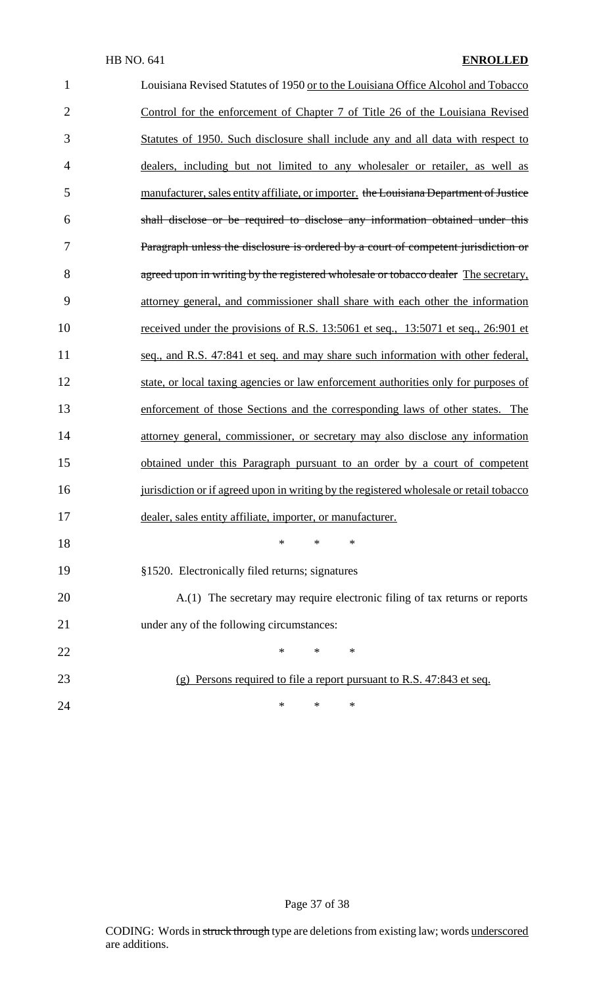| $\mathbf{1}$   | Louisiana Revised Statutes of 1950 or to the Louisiana Office Alcohol and Tobacco       |
|----------------|-----------------------------------------------------------------------------------------|
| $\overline{2}$ | Control for the enforcement of Chapter 7 of Title 26 of the Louisiana Revised           |
| 3              | Statutes of 1950. Such disclosure shall include any and all data with respect to        |
| 4              | dealers, including but not limited to any wholesaler or retailer, as well as            |
| 5              | manufacturer, sales entity affiliate, or importer. the Louisiana Department of Justice  |
| 6              | shall disclose or be required to disclose any information obtained under this           |
| 7              | Paragraph unless the disclosure is ordered by a court of competent jurisdiction or      |
| 8              | agreed upon in writing by the registered wholesale or tobacco dealer The secretary,     |
| 9              | attorney general, and commissioner shall share with each other the information          |
| 10             | received under the provisions of R.S. 13:5061 et seq., 13:5071 et seq., 26:901 et       |
| 11             | seq., and R.S. 47:841 et seq. and may share such information with other federal,        |
| 12             | state, or local taxing agencies or law enforcement authorities only for purposes of     |
| 13             | enforcement of those Sections and the corresponding laws of other states. The           |
| 14             | attorney general, commissioner, or secretary may also disclose any information          |
| 15             | obtained under this Paragraph pursuant to an order by a court of competent              |
| 16             | jurisdiction or if agreed upon in writing by the registered wholesale or retail tobacco |
| 17             | dealer, sales entity affiliate, importer, or manufacturer.                              |
| 18             | $\ast$<br>$\ast$<br>$\ast$                                                              |
| 19             | §1520. Electronically filed returns; signatures                                         |
| 20             | A.(1) The secretary may require electronic filing of tax returns or reports             |
| 21             | under any of the following circumstances:                                               |
| 22             | $\ast$<br>$\ast$<br>$\ast$                                                              |
| 23             | $(g)$ Persons required to file a report pursuant to R.S. 47:843 et seq.                 |
|                |                                                                                         |

**\*** \* \* \*

Page 37 of 38